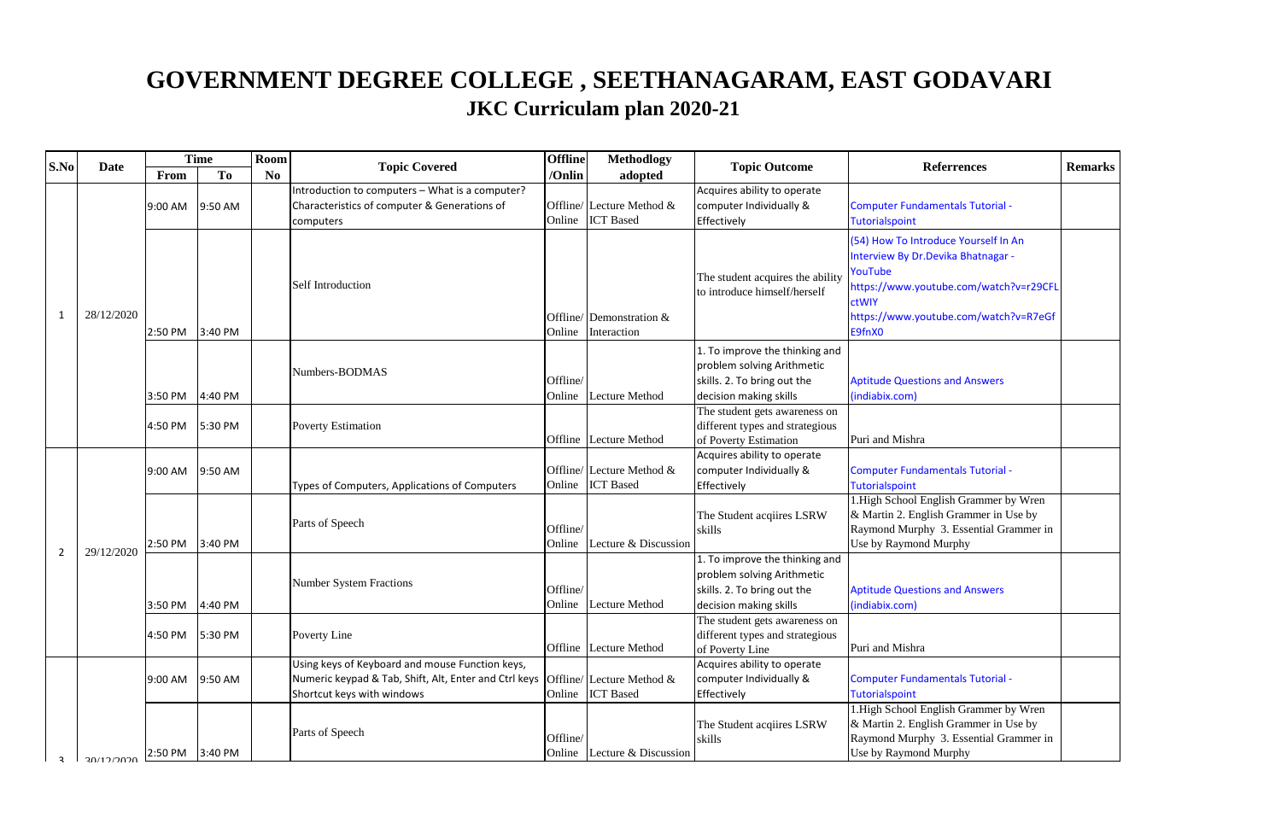| S.No           | <b>Date</b> |             | <b>Time</b> | Room           | <b>Topic Covered</b>                                                                                                                                                 | <b>Offline</b>     | <b>Methodlogy</b>                             | <b>Topic Outcome</b>                                                                                                  | <b>Referrences</b>                                                                                                                                                                           | <b>Remarks</b> |
|----------------|-------------|-------------|-------------|----------------|----------------------------------------------------------------------------------------------------------------------------------------------------------------------|--------------------|-----------------------------------------------|-----------------------------------------------------------------------------------------------------------------------|----------------------------------------------------------------------------------------------------------------------------------------------------------------------------------------------|----------------|
|                |             | <b>From</b> | <b>To</b>   | N <sub>0</sub> |                                                                                                                                                                      |                    | adopted                                       |                                                                                                                       |                                                                                                                                                                                              |                |
|                |             | 9:00 AM     | 9:50 AM     |                | Introduction to computers - What is a computer?<br>Characteristics of computer & Generations of<br>computers                                                         | Online             | Offline/ Lecture Method &<br><b>ICT</b> Based | Acquires ability to operate<br>computer Individually &<br>Effectively                                                 | <b>Computer Fundamentals Tutorial -</b><br>Tutorialspoint                                                                                                                                    |                |
| 1              | 28/12/2020  | 2:50 PM     | 3:40 PM     |                | Self Introduction                                                                                                                                                    | Online             | Offline/ Demonstration $\&$<br>Interaction    | The student acquires the ability<br>to introduce himself/herself                                                      | (54) How To Introduce Yourself In An<br>Interview By Dr. Devika Bhatnagar -<br>YouTube<br>https://www.youtube.com/watch?v=r29CFL<br>ctWIY<br>https://www.youtube.com/watch?v=R7eGf<br>E9fnX0 |                |
|                |             | 3:50 PM     | 4:40 PM     |                | Numbers-BODMAS                                                                                                                                                       | Offline/<br>Online | Lecture Method                                | 1. To improve the thinking and<br>problem solving Arithmetic<br>skills. 2. To bring out the<br>decision making skills | <b>Aptitude Questions and Answers</b><br>(indiabix.com)                                                                                                                                      |                |
|                |             | 4:50 PM     | 5:30 PM     |                | <b>Poverty Estimation</b>                                                                                                                                            |                    | Offline Lecture Method                        | The student gets awareness on<br>different types and strategious<br>of Poverty Estimation                             | Puri and Mishra                                                                                                                                                                              |                |
|                |             | 9:00 AM     | 9:50 AM     |                | Types of Computers, Applications of Computers                                                                                                                        | Online             | Offline/ Lecture Method &<br><b>ICT</b> Based | Acquires ability to operate<br>computer Individually &<br>Effectively                                                 | <b>Computer Fundamentals Tutorial -</b><br><b>Tutorialspoint</b>                                                                                                                             |                |
|                |             | 2:50 PM     | 3:40 PM     |                | Parts of Speech                                                                                                                                                      | Offline/<br>Online | Lecture & Discussion                          | The Student acqiires LSRW<br>skills                                                                                   | 1. High School English Grammer by Wren<br>& Martin 2. English Grammer in Use by<br>Raymond Murphy 3. Essential Grammer in<br>Use by Raymond Murphy                                           |                |
| $\overline{2}$ | 29/12/2020  | 3:50 PM     | 4:40 PM     |                | <b>Number System Fractions</b>                                                                                                                                       | Offline/<br>Online | <b>Lecture Method</b>                         | 1. To improve the thinking and<br>problem solving Arithmetic<br>skills. 2. To bring out the<br>decision making skills | <b>Aptitude Questions and Answers</b><br>(indiabix.com)                                                                                                                                      |                |
|                |             | 4:50 PM     | 5:30 PM     |                | Poverty Line                                                                                                                                                         |                    | Offline Lecture Method                        | The student gets awareness on<br>different types and strategious<br>of Poverty Line                                   | Puri and Mishra                                                                                                                                                                              |                |
|                |             | 9:00 AM     | 9:50 AM     |                | Using keys of Keyboard and mouse Function keys,<br>Numeric keypad & Tab, Shift, Alt, Enter and Ctrl keys $ $ Offline/ Lecture Method &<br>Shortcut keys with windows | Online             | <b>ICT</b> Based                              | Acquires ability to operate<br>computer Individually &<br>Effectively                                                 | <b>Computer Fundamentals Tutorial -</b><br>Tutorialspoint                                                                                                                                    |                |
| $\mathbf{a}$   | 30/12/2020  | 2:50 PM     | 3:40 PM     |                | Parts of Speech                                                                                                                                                      | Offline/<br>Online | Lecture & Discussion                          | The Student acquires LSRW<br>skills                                                                                   | 1. High School English Grammer by Wren<br>& Martin 2. English Grammer in Use by<br>Raymond Murphy 3. Essential Grammer in<br>Use by Raymond Murphy                                           |                |

## **GOVERNMENT DEGREE COLLEGE , SEETHANAGARAM, EAST GODAVARI JKC Curriculam plan 2020-21**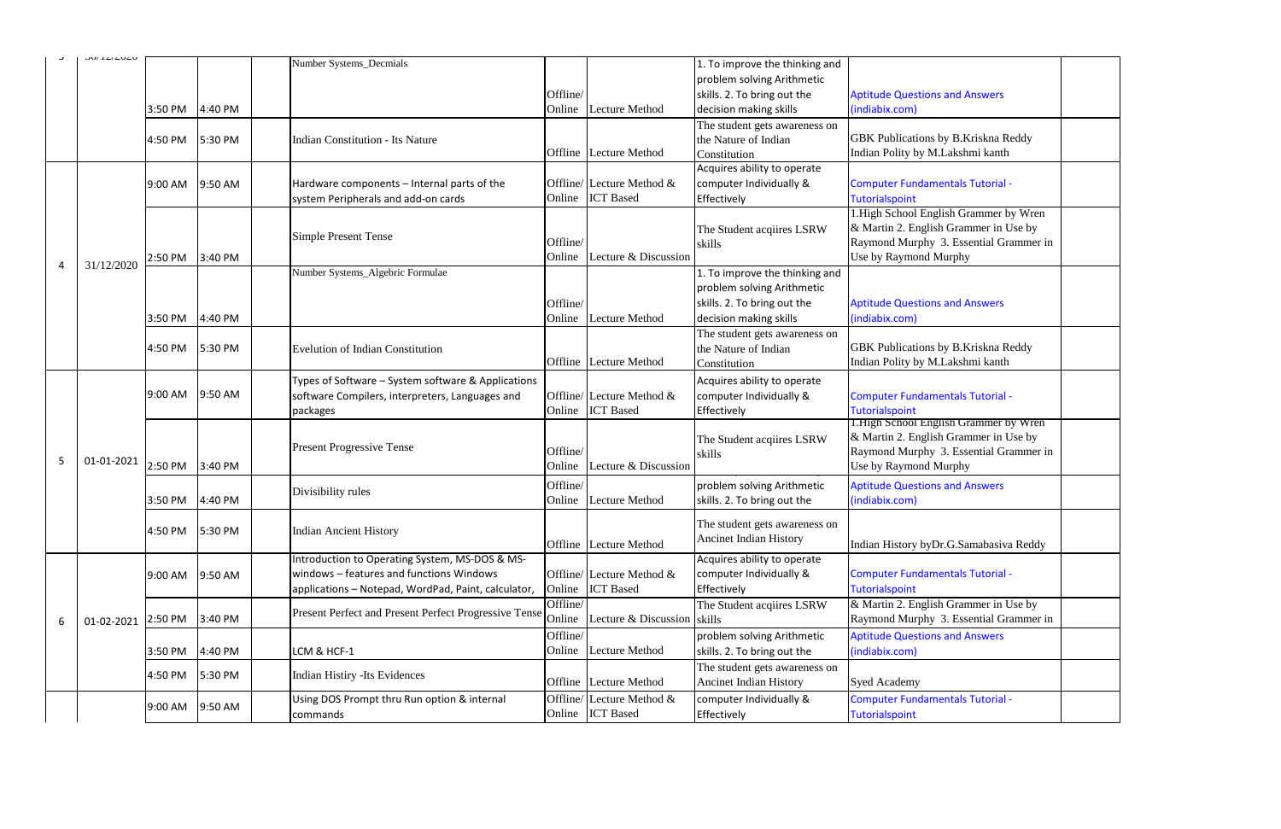| <b>Aptitude Questions and Answers</b><br>(indiabix.com)                                                                                            |  |
|----------------------------------------------------------------------------------------------------------------------------------------------------|--|
| GBK Publications by B.Kriskna Reddy<br>Indian Polity by M.Lakshmi kanth                                                                            |  |
| <b>Computer Fundamentals Tutorial -</b><br><b>Tutorialspoint</b>                                                                                   |  |
| 1. High School English Grammer by Wren<br>& Martin 2. English Grammer in Use by<br>Raymond Murphy 3. Essential Grammer in<br>Use by Raymond Murphy |  |
| <b>Aptitude Questions and Answers</b><br>(indiabix.com)                                                                                            |  |
| GBK Publications by B.Kriskna Reddy<br>Indian Polity by M.Lakshmi kanth                                                                            |  |
| <b>Computer Fundamentals Tutorial -</b><br>Tutorialspoint                                                                                          |  |
| 1. High School English Grammer by Wren<br>& Martin 2. English Grammer in Use by<br>Raymond Murphy 3. Essential Grammer in<br>Use by Raymond Murphy |  |
| <b>Aptitude Questions and Answers</b><br>(indiabix.com)                                                                                            |  |
| Indian History byDr.G.Samabasiva Reddy                                                                                                             |  |
| <b>Computer Fundamentals Tutorial -</b><br><b>Tutorialspoint</b>                                                                                   |  |
| & Martin 2. English Grammer in Use by<br>Raymond Murphy 3. Essential Grammer in                                                                    |  |
| <b>Aptitude Questions and Answers</b><br>(indiabix.com)                                                                                            |  |
| Syed Academy                                                                                                                                       |  |
| <b>Computer Fundamentals Tutorial -</b><br><b>Tutorialspoint</b>                                                                                   |  |

|   | JU/ 14/4U4U |         |         | Number Systems_Decmials                               |                |                              | 1. To improve the thinking and |                                              |
|---|-------------|---------|---------|-------------------------------------------------------|----------------|------------------------------|--------------------------------|----------------------------------------------|
|   |             |         |         |                                                       |                |                              | problem solving Arithmetic     |                                              |
|   |             |         |         |                                                       | Offline/       |                              | skills. 2. To bring out the    | <b>Aptitude Questions and Answers</b>        |
|   |             | 3:50 PM | 4:40 PM |                                                       | Online         | <b>Lecture Method</b>        | decision making skills         | (indiabix.com)                               |
|   |             |         |         |                                                       |                |                              | The student gets awareness on  |                                              |
|   |             | 4:50 PM | 5:30 PM | Indian Constitution - Its Nature                      |                |                              | the Nature of Indian           | <b>GBK</b> Publications by B.Kriskna Reddy   |
|   |             |         |         |                                                       | Offline        | Lecture Method               | Constitution                   | Indian Polity by M.Lakshmi kanth             |
|   |             |         |         |                                                       |                |                              | Acquires ability to operate    |                                              |
|   |             | 9:00 AM | 9:50 AM | Hardware components - Internal parts of the           |                | Offline/ Lecture Method $\&$ | computer Individually &        | <b>Computer Fundamentals Tutorial -</b>      |
|   |             |         |         | system Peripherals and add-on cards                   | Online         | <b>ICT</b> Based             | Effectively                    | Tutorialspoint                               |
|   |             |         |         |                                                       |                |                              |                                | 1. High School English Grammer by Wren       |
|   |             |         |         |                                                       |                |                              | The Student acqiires LSRW      | & Martin 2. English Grammer in Use by        |
|   |             |         |         | <b>Simple Present Tense</b>                           | Offline/       |                              | skills                         | Raymond Murphy 3. Essential Grammer          |
|   |             | 2:50 PM | 3:40 PM |                                                       | Online         | Lecture & Discussion         |                                | Use by Raymond Murphy                        |
| 4 | 31/12/2020  |         |         | Number Systems_Algebric Formulae                      |                |                              | 1. To improve the thinking and |                                              |
|   |             |         |         |                                                       |                |                              | problem solving Arithmetic     |                                              |
|   |             |         |         |                                                       | Offline/       |                              | skills. 2. To bring out the    | <b>Aptitude Questions and Answers</b>        |
|   |             |         |         |                                                       |                | <b>Lecture Method</b>        |                                |                                              |
|   |             | 3:50 PM | 4:40 PM |                                                       | Online         |                              | decision making skills         | (indiabix.com)                               |
|   |             |         |         |                                                       |                |                              | The student gets awareness on  |                                              |
|   |             | 4:50 PM | 5:30 PM | <b>Evelution of Indian Constitution</b>               |                |                              | the Nature of Indian           | <b>GBK Publications by B.Kriskna Reddy</b>   |
|   |             |         |         |                                                       | Offline        | Lecture Method               | Constitution                   | Indian Polity by M.Lakshmi kanth             |
|   |             |         |         | Types of Software – System software & Applications    |                |                              | Acquires ability to operate    |                                              |
|   |             | 9:00 AM | 9:50 AM | software Compilers, interpreters, Languages and       |                | Offline/ Lecture Method $\&$ | computer Individually &        | <b>Computer Fundamentals Tutorial -</b>      |
|   |             |         |         | packages                                              | Online         | <b>ICT</b> Based             | Effectively                    | <b>Tutorialspoint</b>                        |
|   |             |         |         |                                                       |                |                              |                                | <b>I.High School English Grammer by Wren</b> |
|   |             |         |         |                                                       |                |                              | The Student acqiires LSRW      | & Martin 2. English Grammer in Use by        |
|   |             |         |         | <b>Present Progressive Tense</b>                      | Offline/       |                              | skills                         | Raymond Murphy 3. Essential Grammer:         |
| 5 | 01-01-2021  | 2:50 PM | 3:40 PM |                                                       | Online         | Lecture & Discussion         |                                | Use by Raymond Murphy                        |
|   |             |         |         |                                                       | Offline/       |                              | problem solving Arithmetic     | <b>Aptitude Questions and Answers</b>        |
|   |             | 3:50 PM | 4:40 PM | Divisibility rules                                    | Online         | Lecture Method               | skills. 2. To bring out the    | (indiabix.com)                               |
|   |             |         |         |                                                       |                |                              |                                |                                              |
|   |             | 4:50 PM | 5:30 PM | <b>Indian Ancient History</b>                         |                |                              | The student gets awareness on  |                                              |
|   |             |         |         |                                                       | <b>Offline</b> | Lecture Method               | <b>Ancinet Indian History</b>  | Indian History byDr.G.Samabasiva Reddy       |
|   |             |         |         | Introduction to Operating System, MS-DOS & MS-        |                |                              | Acquires ability to operate    |                                              |
|   |             | 9:00 AM | 9:50 AM | windows - features and functions Windows              |                | Offline/ Lecture Method $\&$ | computer Individually &        | <b>Computer Fundamentals Tutorial -</b>      |
|   |             |         |         | applications - Notepad, WordPad, Paint, calculator,   | Online         | <b>ICT</b> Based             | Effectively                    | <b>Tutorialspoint</b>                        |
|   |             |         |         |                                                       | Offline/       |                              | The Student acqiires LSRW      | & Martin 2. English Grammer in Use by        |
|   |             |         | 3:40 PM | Present Perfect and Present Perfect Progressive Tense | Online         | Lecture & Discussion         | skills                         | Raymond Murphy 3. Essential Grammer          |
| 6 | 01-02-2021  | 2:50 PM |         |                                                       |                |                              |                                |                                              |
|   |             |         |         |                                                       | Offline/       |                              | problem solving Arithmetic     | <b>Aptitude Questions and Answers</b>        |
|   |             | 3:50 PM | 4:40 PM | LCM & HCF-1                                           | Online         | Lecture Method               | skills. 2. To bring out the    | (indiabix.com)                               |
|   |             | 4:50 PM | 5:30 PM | Indian Histiry -Its Evidences                         |                |                              | The student gets awareness on  |                                              |
|   |             |         |         |                                                       | Offline        | Lecture Method               | <b>Ancinet Indian History</b>  | <b>Syed Academy</b>                          |
|   |             |         |         | Using DOS Prompt thru Run option & internal           | Offline/       | Lecture Method &             | computer Individually &        | <b>Computer Fundamentals Tutorial -</b>      |
|   |             | 9:00 AM | 9:50 AM | commands                                              | Online         | <b>ICT</b> Based             | Effectively                    | <b>Tutorialspoint</b>                        |
|   |             |         |         |                                                       |                |                              |                                |                                              |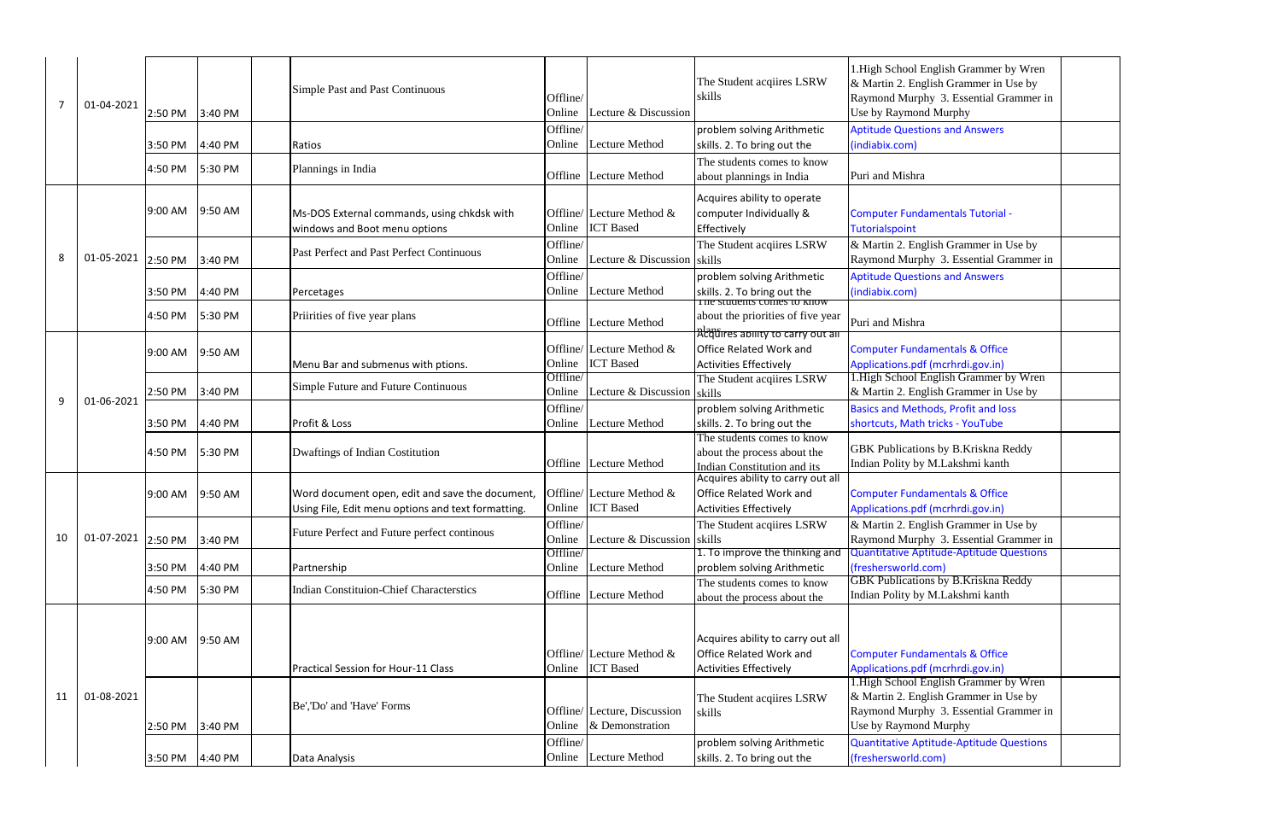| 7  | 01-04-2021 | 2:50 PM | 3:40 PM | Simple Past and Past Continuous                                                                       | Offline/<br>Online | Lecture & Discussion                             | The Student acqiires LSRW<br>skills                                                                           | 1. High School English Grammer by<br>& Martin 2. English Grammer in Us<br>Raymond Murphy 3. Essential Grar<br>Use by Raymond Murphy |
|----|------------|---------|---------|-------------------------------------------------------------------------------------------------------|--------------------|--------------------------------------------------|---------------------------------------------------------------------------------------------------------------|-------------------------------------------------------------------------------------------------------------------------------------|
|    |            | 3:50 PM | 4:40 PM | Ratios                                                                                                | Offline/<br>Online | <b>Lecture Method</b>                            | problem solving Arithmetic<br>skills. 2. To bring out the                                                     | <b>Aptitude Questions and Answers</b><br>(indiabix.com)                                                                             |
|    |            | 4:50 PM | 5:30 PM | Plannings in India                                                                                    |                    | Offline Lecture Method                           | The students comes to know<br>about plannings in India                                                        | Puri and Mishra                                                                                                                     |
|    |            | 9:00 AM | 9:50 AM | Ms-DOS External commands, using chkdsk with<br>windows and Boot menu options                          | Online             | Offline/ Lecture Method $&$<br><b>ICT</b> Based  | Acquires ability to operate<br>computer Individually &<br>Effectively                                         | <b>Computer Fundamentals Tutorial -</b><br><b>Tutorialspoint</b>                                                                    |
| 8  | 01-05-2021 | 2:50 PM | 3:40 PM | Past Perfect and Past Perfect Continuous                                                              | Offline/<br>Online | Lecture & Discussion skills                      | The Student acqiires LSRW                                                                                     | & Martin 2. English Grammer in Us<br>Raymond Murphy 3. Essential Grar                                                               |
|    |            | 3:50 PM | 4:40 PM | Percetages                                                                                            | Offline/<br>Online | <b>Lecture Method</b>                            | problem solving Arithmetic<br>skills. 2. To bring out the<br>The students comes to know                       | <b>Aptitude Questions and Answers</b><br>(indiabix.com)                                                                             |
|    |            | 4:50 PM | 5:30 PM | Priirities of five year plans                                                                         |                    | Offline Lecture Method                           | about the priorities of five year                                                                             | Puri and Mishra                                                                                                                     |
|    |            | 9:00 AM | 9:50 AM | Menu Bar and submenus with ptions.                                                                    | Online             | Offline/ Lecture Method $\&$<br><b>ICT</b> Based | <u> Αλαδή εξετασιαστοι το carry out an</u><br><b>Office Related Work and</b><br><b>Activities Effectively</b> | <b>Computer Fundamentals &amp; Office</b><br>Applications.pdf (mcrhrdi.gov.in)                                                      |
| 9  | 01-06-2021 | 2:50 PM | 3:40 PM | Simple Future and Future Continuous                                                                   | Offline/<br>Online | Lecture & Discussion                             | The Student acquires LSRW<br>skills                                                                           | 1. High School English Grammer by<br>& Martin 2. English Grammer in Us                                                              |
|    |            | 3:50 PM | 4:40 PM | Profit & Loss                                                                                         | Offline/<br>Online | Lecture Method                                   | problem solving Arithmetic<br>skills. 2. To bring out the                                                     | <b>Basics and Methods, Profit and loss</b><br>shortcuts, Math tricks - YouTube                                                      |
|    |            | 4:50 PM | 5:30 PM | Dwaftings of Indian Costitution                                                                       |                    | Offline Lecture Method                           | The students comes to know<br>about the process about the<br>Indian Constitution and its                      | GBK Publications by B.Kriskna Rec<br>Indian Polity by M.Lakshmi kanth                                                               |
|    |            | 9:00 AM | 9:50 AM | Word document open, edit and save the document,<br>Using File, Edit menu options and text formatting. |                    | Offline/ Lecture Method &<br>Online ICT Based    | Acquires ability to carry out all<br><b>Office Related Work and</b><br><b>Activities Effectively</b>          | <b>Computer Fundamentals &amp; Office</b><br>Applications.pdf (mcrhrdi.gov.in)                                                      |
| 10 | 01-07-2021 | 2:50 PM | 3:40 PM | Future Perfect and Future perfect continous                                                           | Offline/<br>Online | Lecture $& Discussion$ skills                    | The Student acqiires LSRW                                                                                     | & Martin 2. English Grammer in Us<br>Raymond Murphy 3. Essential Gran                                                               |
|    |            | 3:50 PM | 4:40 PM | Partnership                                                                                           | Offline/<br>Online | <b>Lecture Method</b>                            | 1. To improve the thinking and<br>problem solving Arithmetic                                                  | Quantitative Aptitude-Aptitude Que<br>(freshersworld.com)                                                                           |
|    |            | 4:50 PM | 5:30 PM | <b>Indian Constituion-Chief Characterstics</b>                                                        | Offline            | <b>Lecture Method</b>                            | The students comes to know<br>about the process about the                                                     | <b>GBK Publications by B.Kriskna Red</b><br>Indian Polity by M.Lakshmi kanth                                                        |
|    |            | 9:00 AM | 9:50 AM |                                                                                                       | Online             | Offline/ Lecture Method $\&$<br><b>ICT</b> Based | Acquires ability to carry out all<br><b>Office Related Work and</b>                                           | <b>Computer Fundamentals &amp; Office</b><br>Applications.pdf (mcrhrdi.gov.in)                                                      |
| 11 | 01-08-2021 | 2:50 PM | 3:40 PM | Practical Session for Hour-11 Class<br>Be','Do' and 'Have' Forms                                      | Online             | Offline/ Lecture, Discussion<br>& Demonstration  | <b>Activities Effectively</b><br>The Student acquires LSRW<br>skills                                          | 1. High School English Grammer by<br>& Martin 2. English Grammer in Us<br>Raymond Murphy 3. Essential Grar<br>Use by Raymond Murphy |
|    |            | 3:50 PM | 4:40 PM | Data Analysis                                                                                         | Offline/           | Online Lecture Method                            | problem solving Arithmetic<br>skills. 2. To bring out the                                                     | <b>Quantitative Aptitude-Aptitude Que</b><br>(freshersworld.com)                                                                    |

| 1. High School English Grammer by Wren<br>& Martin 2. English Grammer in Use by<br>Raymond Murphy 3. Essential Grammer in |  |
|---------------------------------------------------------------------------------------------------------------------------|--|
| Use by Raymond Murphy                                                                                                     |  |
| <b>Aptitude Questions and Answers</b>                                                                                     |  |
| (indiabix.com)                                                                                                            |  |
|                                                                                                                           |  |
| Puri and Mishra                                                                                                           |  |
|                                                                                                                           |  |
| <b>Computer Fundamentals Tutorial -</b><br>Tutorialspoint                                                                 |  |
| & Martin 2. English Grammer in Use by                                                                                     |  |
| Raymond Murphy 3. Essential Grammer in                                                                                    |  |
| <b>Aptitude Questions and Answers</b>                                                                                     |  |
| (indiabix.com)                                                                                                            |  |
|                                                                                                                           |  |
| Puri and Mishra                                                                                                           |  |
|                                                                                                                           |  |
| <b>Computer Fundamentals &amp; Office</b>                                                                                 |  |
| Applications.pdf (mcrhrdi.gov.in)<br>1. High School English Grammer by Wren                                               |  |
| & Martin 2. English Grammer in Use by                                                                                     |  |
| <b>Basics and Methods, Profit and loss</b>                                                                                |  |
| shortcuts, Math tricks - YouTube                                                                                          |  |
|                                                                                                                           |  |
| GBK Publications by B.Kriskna Reddy<br>Indian Polity by M.Lakshmi kanth                                                   |  |
|                                                                                                                           |  |
| <b>Computer Fundamentals &amp; Office</b>                                                                                 |  |
| Applications.pdf (mcrhrdi.gov.in)                                                                                         |  |
| & Martin 2. English Grammer in Use by                                                                                     |  |
| Raymond Murphy 3. Essential Grammer in<br><b>Quantitative Aptitude-Aptitude Questions</b>                                 |  |
| (freshersworld.com)                                                                                                       |  |
| <b>GBK Publications by B.Kriskna Reddy</b>                                                                                |  |
| Indian Polity by M.Lakshmi kanth                                                                                          |  |
|                                                                                                                           |  |
|                                                                                                                           |  |
|                                                                                                                           |  |
| <b>Computer Fundamentals &amp; Office</b>                                                                                 |  |
| Applications.pdf (mcrhrdi.gov.in)<br>1. High School English Grammer by Wren                                               |  |
| & Martin 2. English Grammer in Use by                                                                                     |  |
| Raymond Murphy 3. Essential Grammer in                                                                                    |  |
| Use by Raymond Murphy                                                                                                     |  |
| <b>Quantitative Aptitude-Aptitude Questions</b>                                                                           |  |
| (freshersworld.com)                                                                                                       |  |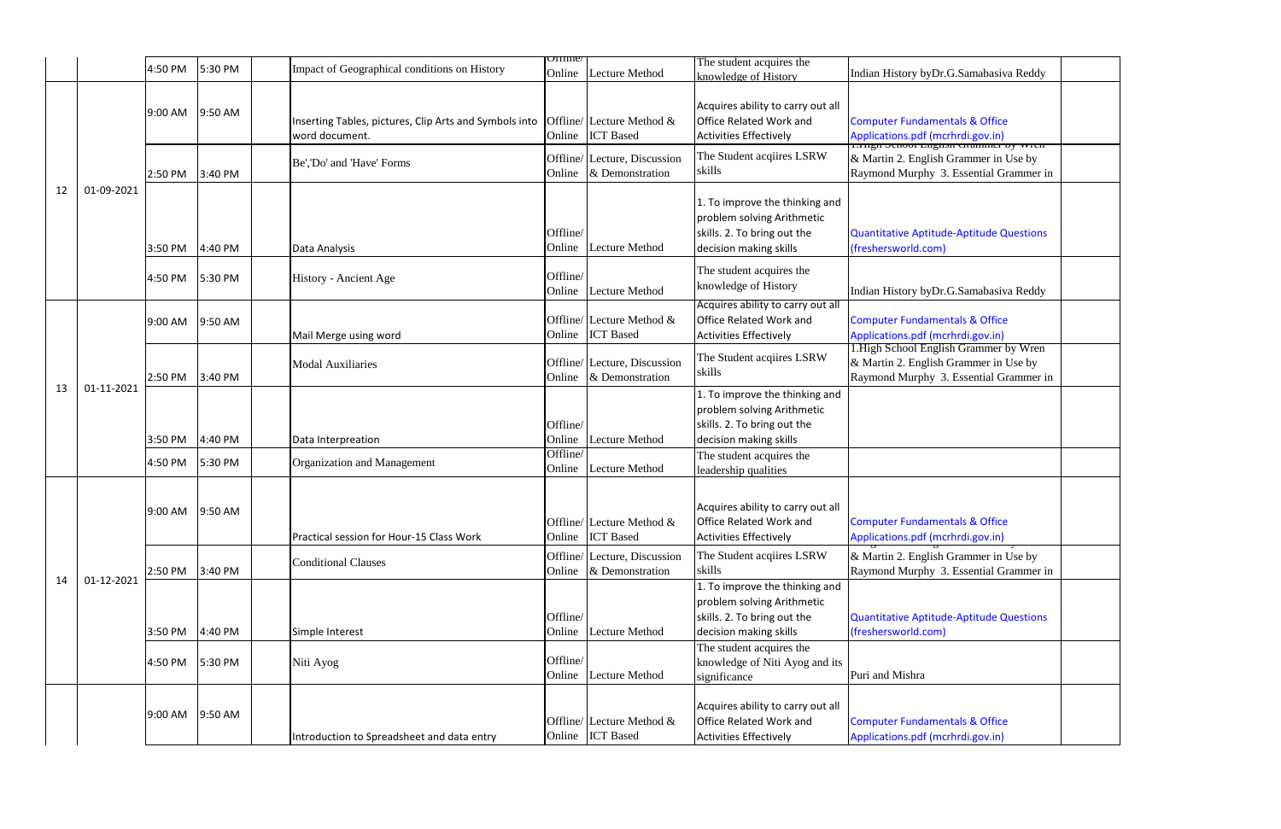|    |            |                    |                    |                                                                                                       | $U$ IIIIne                     |                                                                               | The student acquires the                                                                                                                          |                                                                                                                                                                    |  |
|----|------------|--------------------|--------------------|-------------------------------------------------------------------------------------------------------|--------------------------------|-------------------------------------------------------------------------------|---------------------------------------------------------------------------------------------------------------------------------------------------|--------------------------------------------------------------------------------------------------------------------------------------------------------------------|--|
|    |            | 4:50 PM            | 5:30 PM            | Impact of Geographical conditions on History                                                          | Online                         | <b>Lecture Method</b>                                                         | knowledge of History                                                                                                                              | Indian History byDr.G.Samabasiva Reddy                                                                                                                             |  |
|    |            | 9:00 AM            | 9:50 AM            | Inserting Tables, pictures, Clip Arts and Symbols into<br>word document.<br>Be','Do' and 'Have' Forms | Online                         | Offline/ Lecture Method &<br><b>ICT</b> Based<br>Offline/ Lecture, Discussion | Acquires ability to carry out all<br><b>Office Related Work and</b><br><b>Activities Effectively</b><br>The Student acqiires LSRW<br>skills       | <b>Computer Fundamentals &amp; Office</b><br>Applications.pdf (mcrhrdi.gov.in)<br>1.1ngu senoor Engnsu erlannier by wreir<br>& Martin 2. English Grammer in Use by |  |
| 12 |            | 2:50 PM            | 3:40 PM            |                                                                                                       | Online                         | & Demonstration                                                               |                                                                                                                                                   | Raymond Murphy 3. Essential Grammer in                                                                                                                             |  |
|    | 01-09-2021 | 3:50 PM            | 4:40 PM            | Data Analysis                                                                                         | Offline/<br>Online             | Lecture Method                                                                | 1. To improve the thinking and<br>problem solving Arithmetic<br>skills. 2. To bring out the<br>decision making skills                             | Quantitative Aptitude-Aptitude Questions<br>(freshersworld.com)                                                                                                    |  |
|    |            | 4:50 PM            | 5:30 PM            | History - Ancient Age                                                                                 | Offline/<br>Online             | Lecture Method                                                                | The student acquires the<br>knowledge of History                                                                                                  | Indian History byDr.G.Samabasiva Reddy                                                                                                                             |  |
|    |            | 9:00 AM            | 9:50 AM            | Mail Merge using word                                                                                 | Online                         | Offline/ Lecture Method &<br><b>ICT</b> Based                                 | Acquires ability to carry out all<br>Office Related Work and<br><b>Activities Effectively</b>                                                     | <b>Computer Fundamentals &amp; Office</b><br>Applications.pdf (mcrhrdi.gov.in)<br>1. High School English Grammer by Wren                                           |  |
| 13 | 01-11-2021 | 2:50 PM            | 3:40 PM            | <b>Modal Auxiliaries</b>                                                                              | Online                         | Offline/ Lecture, Discussion<br>& Demonstration                               | The Student acquires LSRW<br>skills                                                                                                               | & Martin 2. English Grammer in Use by<br>Raymond Murphy 3. Essential Grammer in                                                                                    |  |
|    |            | 3:50 PM<br>4:50 PM | 4:40 PM<br>5:30 PM | Data Interpreation<br>Organization and Management                                                     | Offline/<br>Online<br>Offline/ | Lecture Method                                                                | 1. To improve the thinking and<br>problem solving Arithmetic<br>skills. 2. To bring out the<br>decision making skills<br>The student acquires the |                                                                                                                                                                    |  |
|    |            |                    |                    |                                                                                                       | Online                         | Lecture Method                                                                | leadership qualities                                                                                                                              |                                                                                                                                                                    |  |
|    |            | 9:00 AM            | 9:50 AM            | Practical session for Hour-15 Class Work                                                              |                                | Offline/ Lecture Method &<br>Online ICT Based                                 | Acquires ability to carry out all<br><b>Office Related Work and</b><br><b>Activities Effectively</b>                                              | <b>Computer Fundamentals &amp; Office</b><br>Applications.pdf (mcrhrdi.gov.in)                                                                                     |  |
|    | 01-12-2021 | 2:50 PM            | 3:40 PM            | <b>Conditional Clauses</b>                                                                            | Online                         | Offline/ Lecture, Discussion<br>& Demonstration                               | The Student acquires LSRW<br>skills                                                                                                               | & Martin 2. English Grammer in Use by<br>Raymond Murphy 3. Essential Grammer in                                                                                    |  |
| 14 |            | 3:50 PM            | 4:40 PM            | Simple Interest                                                                                       | Offline/<br>Online             | <b>Lecture Method</b>                                                         | 1. To improve the thinking and<br>problem solving Arithmetic<br>skills. 2. To bring out the<br>decision making skills                             | Quantitative Aptitude-Aptitude Questions<br>(freshersworld.com)                                                                                                    |  |
|    |            | 4:50 PM            | 5:30 PM            | Niti Ayog                                                                                             | Offline/<br>Online             | <b>Lecture Method</b>                                                         | The student acquires the<br>knowledge of Niti Ayog and its<br>significance                                                                        | Puri and Mishra                                                                                                                                                    |  |
|    |            | 9:00 AM            | 9:50 AM            | Introduction to Spreadsheet and data entry                                                            |                                | Offline/ Lecture Method &<br>Online ICT Based                                 | Acquires ability to carry out all<br><b>Office Related Work and</b><br><b>Activities Effectively</b>                                              | <b>Computer Fundamentals &amp; Office</b><br>Applications.pdf (mcrhrdi.gov.in)                                                                                     |  |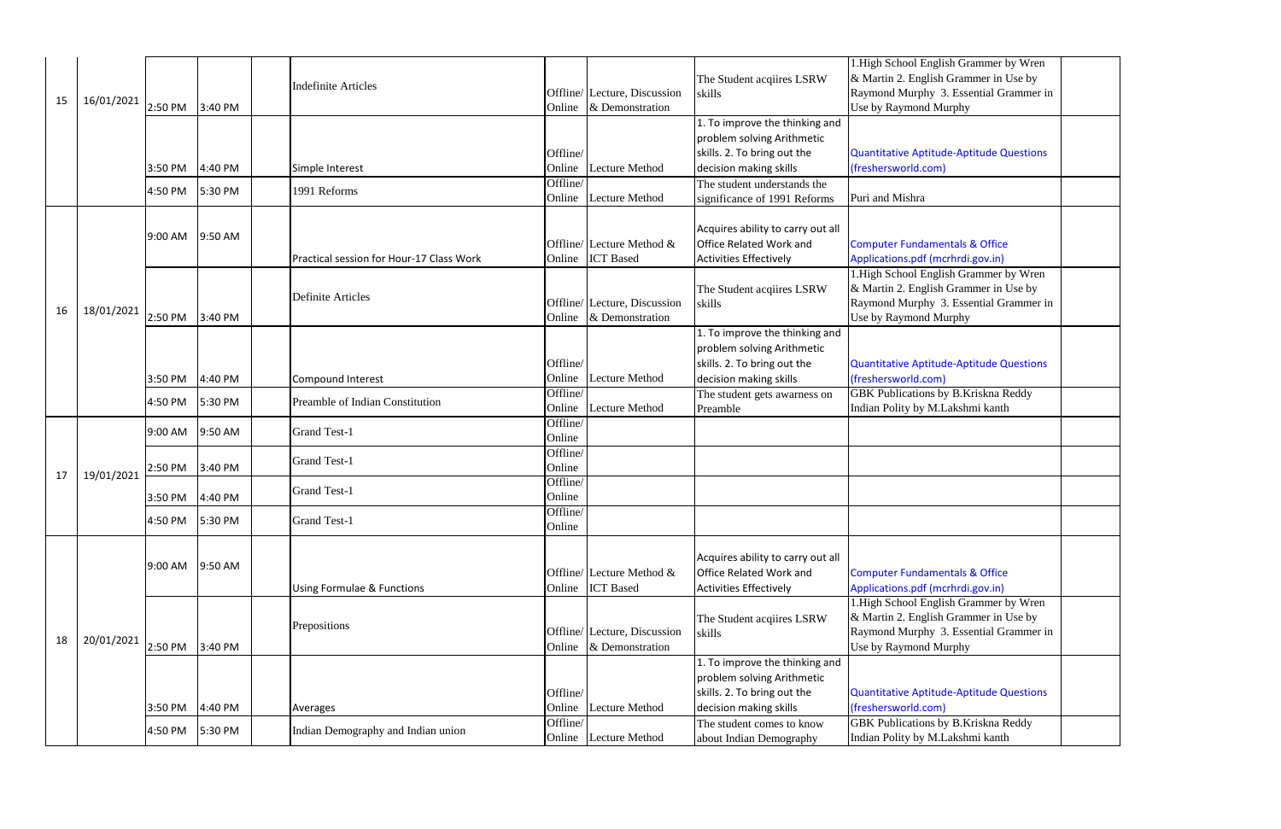|    |            |                 |         |                                          |                    |                                                  |                                                                     | 1. High School English Grammer by Wren                                      |
|----|------------|-----------------|---------|------------------------------------------|--------------------|--------------------------------------------------|---------------------------------------------------------------------|-----------------------------------------------------------------------------|
|    |            |                 |         | <b>Indefinite Articles</b>               |                    |                                                  | The Student acqiires LSRW                                           | & Martin 2. English Grammer in Use by                                       |
| 15 | 16/01/2021 |                 |         |                                          |                    | Offline/ Lecture, Discussion                     | skills                                                              | Raymond Murphy 3. Essential Grammer                                         |
|    |            | 2:50 PM         | 3:40 PM |                                          | Online             | & Demonstration                                  |                                                                     | Use by Raymond Murphy                                                       |
|    |            |                 |         |                                          |                    |                                                  | 1. To improve the thinking and                                      |                                                                             |
|    |            |                 |         |                                          |                    |                                                  | problem solving Arithmetic                                          |                                                                             |
|    |            |                 |         |                                          | Offline/           |                                                  | skills. 2. To bring out the                                         | <b>Quantitative Aptitude-Aptitude Question</b>                              |
|    |            | 3:50 PM         | 4:40 PM | Simple Interest                          | Online             | <b>Lecture Method</b>                            | decision making skills                                              | (freshersworld.com)                                                         |
|    |            | 4:50 PM         | 5:30 PM | 1991 Reforms                             | Offline/<br>Online | <b>Lecture Method</b>                            | The student understands the                                         | Puri and Mishra                                                             |
|    |            |                 |         |                                          |                    |                                                  | significance of 1991 Reforms                                        |                                                                             |
|    |            |                 |         |                                          |                    |                                                  |                                                                     |                                                                             |
|    |            | 9:00 AM         | 9:50 AM |                                          |                    |                                                  | Acquires ability to carry out all<br><b>Office Related Work and</b> |                                                                             |
|    |            |                 |         |                                          |                    | Offline/ Lecture Method $\&$<br><b>ICT</b> Based |                                                                     | <b>Computer Fundamentals &amp; Office</b>                                   |
|    |            |                 |         | Practical session for Hour-17 Class Work | Online             |                                                  | <b>Activities Effectively</b>                                       | Applications.pdf (mcrhrdi.gov.in)<br>1. High School English Grammer by Wren |
|    |            |                 |         |                                          |                    |                                                  | The Student acquires LSRW                                           | & Martin 2. English Grammer in Use by                                       |
|    |            |                 |         | <b>Definite Articles</b>                 |                    | Offline/ Lecture, Discussion                     | skills                                                              | Raymond Murphy 3. Essential Grammer                                         |
| 16 | 18/01/2021 | 2:50 PM         | 3:40 PM |                                          | Online             | & Demonstration                                  |                                                                     | Use by Raymond Murphy                                                       |
|    |            |                 |         |                                          |                    |                                                  | 1. To improve the thinking and                                      |                                                                             |
|    |            |                 |         |                                          |                    |                                                  | problem solving Arithmetic                                          |                                                                             |
|    |            |                 |         |                                          | Offline/           |                                                  | skills. 2. To bring out the                                         | Quantitative Aptitude-Aptitude Question                                     |
|    |            | 3:50 PM         | 4:40 PM | Compound Interest                        | Online             | Lecture Method                                   | decision making skills                                              | (freshersworld.com)                                                         |
|    |            |                 |         |                                          | Offline/           |                                                  |                                                                     | GBK Publications by B.Kriskna Reddy                                         |
|    |            | 4:50 PM         | 5:30 PM | Preamble of Indian Constitution          | Online             | <b>Lecture Method</b>                            | The student gets awarness on<br>Preamble                            | Indian Polity by M.Lakshmi kanth                                            |
|    |            |                 |         |                                          | Offline/           |                                                  |                                                                     |                                                                             |
|    |            | 9:00 AM         | 9:50 AM | <b>Grand Test-1</b>                      | Online             |                                                  |                                                                     |                                                                             |
|    |            |                 |         |                                          | Offline/           |                                                  |                                                                     |                                                                             |
|    |            | 2:50 PM         | 3:40 PM | <b>Grand Test-1</b>                      | Online             |                                                  |                                                                     |                                                                             |
| 17 | 19/01/2021 |                 |         |                                          | Offline/           |                                                  |                                                                     |                                                                             |
|    |            | 3:50 PM         | 4:40 PM | <b>Grand Test-1</b>                      | Online             |                                                  |                                                                     |                                                                             |
|    |            |                 |         |                                          | Offline/           |                                                  |                                                                     |                                                                             |
|    |            | 4:50 PM 5:30 PM |         | <b>Grand Test-1</b>                      | Online             |                                                  |                                                                     |                                                                             |
|    |            |                 |         |                                          |                    |                                                  |                                                                     |                                                                             |
|    |            |                 |         |                                          |                    |                                                  | Acquires ability to carry out all                                   |                                                                             |
|    |            | 9:00 AM         | 9:50 AM |                                          |                    | Offline/ Lecture Method &                        | <b>Office Related Work and</b>                                      | <b>Computer Fundamentals &amp; Office</b>                                   |
|    |            |                 |         | <b>Using Formulae &amp; Functions</b>    | Online             | <b>ICT</b> Based                                 | <b>Activities Effectively</b>                                       | Applications.pdf (mcrhrdi.gov.in)                                           |
|    |            |                 |         |                                          |                    |                                                  |                                                                     | 1. High School English Grammer by Wren                                      |
|    |            |                 |         |                                          |                    |                                                  | The Student acqiires LSRW                                           | & Martin 2. English Grammer in Use by                                       |
|    |            |                 |         | Prepositions                             |                    | Offline/ Lecture, Discussion                     | skills                                                              | Raymond Murphy 3. Essential Grammer                                         |
| 18 | 20/01/2021 | 2:50 PM         | 3:40 PM |                                          | Online             | & Demonstration                                  |                                                                     | Use by Raymond Murphy                                                       |
|    |            |                 |         |                                          |                    |                                                  | 1. To improve the thinking and                                      |                                                                             |
|    |            |                 |         |                                          |                    |                                                  | problem solving Arithmetic                                          |                                                                             |
|    |            |                 |         |                                          | Offline/           |                                                  | skills. 2. To bring out the                                         | Quantitative Aptitude-Aptitude Question                                     |
|    |            | 3:50 PM         | 4:40 PM | Averages                                 | Online             | <b>Lecture Method</b>                            | decision making skills                                              | (freshersworld.com)                                                         |
|    |            |                 |         |                                          | Offline/           |                                                  | The student comes to know                                           | <b>GBK Publications by B.Kriskna Reddy</b>                                  |
|    |            | 4:50 PM         | 5:30 PM | Indian Demography and Indian union       | Online             | Lecture Method                                   | about Indian Demography                                             | Indian Polity by M.Lakshmi kanth                                            |

| 1. High School English Grammer by Wren          |  |
|-------------------------------------------------|--|
| & Martin 2. English Grammer in Use by           |  |
| Raymond Murphy 3. Essential Grammer in          |  |
| Use by Raymond Murphy                           |  |
|                                                 |  |
|                                                 |  |
| <b>Quantitative Aptitude-Aptitude Questions</b> |  |
| (freshersworld.com)                             |  |
| Puri and Mishra                                 |  |
|                                                 |  |
|                                                 |  |
| <b>Computer Fundamentals &amp; Office</b>       |  |
| Applications.pdf (mcrhrdi.gov.in)               |  |
| 1. High School English Grammer by Wren          |  |
| & Martin 2. English Grammer in Use by           |  |
| Raymond Murphy 3. Essential Grammer in          |  |
| Use by Raymond Murphy                           |  |
|                                                 |  |
|                                                 |  |
| <b>Quantitative Aptitude-Aptitude Questions</b> |  |
| (freshersworld.com)                             |  |
| <b>GBK Publications by B.Kriskna Reddy</b>      |  |
| Indian Polity by M.Lakshmi kanth                |  |
|                                                 |  |
|                                                 |  |
|                                                 |  |
|                                                 |  |
|                                                 |  |
|                                                 |  |
|                                                 |  |
|                                                 |  |
|                                                 |  |
| <b>Computer Fundamentals &amp; Office</b>       |  |
| Applications.pdf (mcrhrdi.gov.in)               |  |
| 1.High School English Grammer by Wren           |  |
| & Martin 2. English Grammer in Use by           |  |
| Raymond Murphy 3. Essential Grammer in          |  |
| Use by Raymond Murphy                           |  |
|                                                 |  |
| <b>Quantitative Aptitude-Aptitude Questions</b> |  |
| (freshersworld.com)                             |  |
| <b>GBK Publications by B.Kriskna Reddy</b>      |  |
| Indian Polity by M.Lakshmi kanth                |  |
|                                                 |  |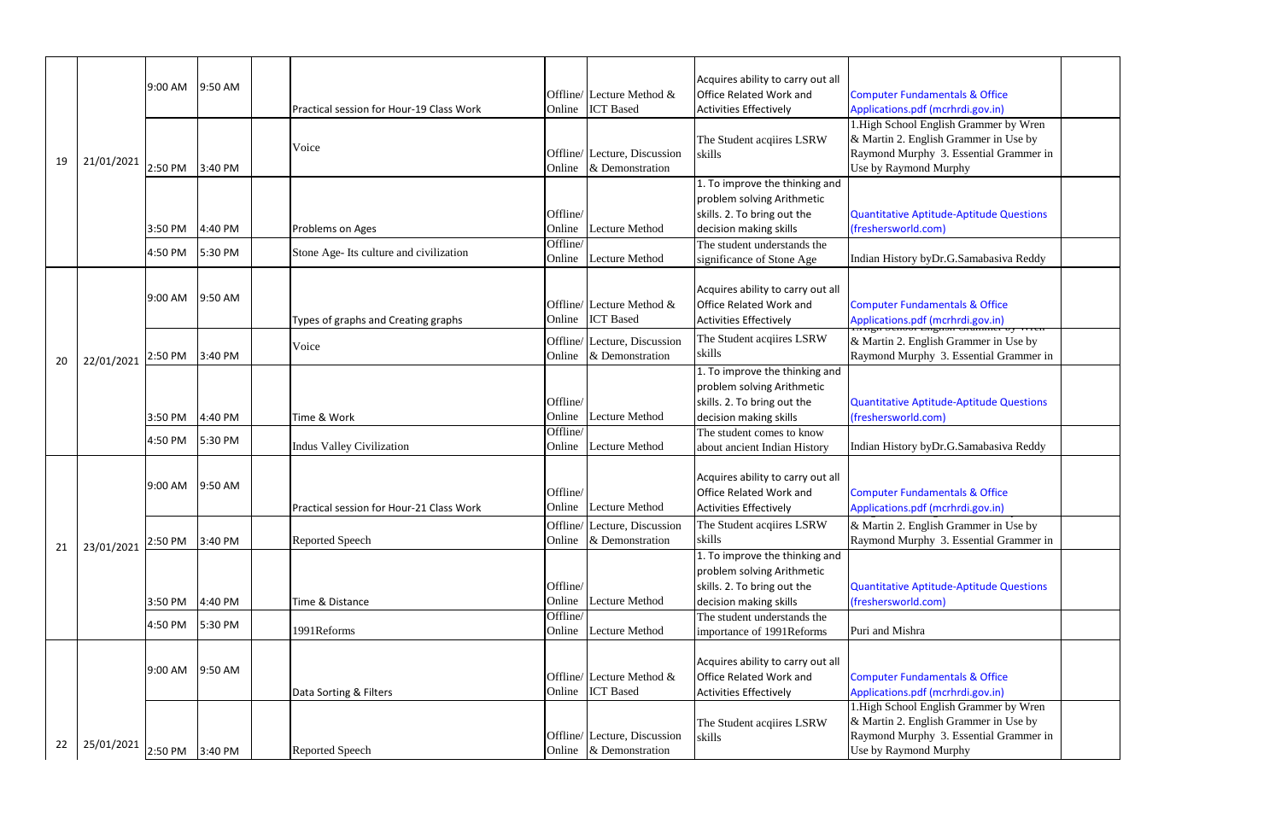|    |            |                 |         |                                          |          |                                                  | Acquires ability to carry out all   |                                                                             |
|----|------------|-----------------|---------|------------------------------------------|----------|--------------------------------------------------|-------------------------------------|-----------------------------------------------------------------------------|
|    |            | 9:00 AM         | 9:50 AM |                                          |          | Offline/ Lecture Method $&$                      | Office Related Work and             | <b>Computer Fundamentals &amp; Office</b>                                   |
|    |            |                 |         | Practical session for Hour-19 Class Work | Online   | <b>ICT</b> Based                                 | <b>Activities Effectively</b>       | Applications.pdf (mcrhrdi.gov.in)                                           |
|    |            |                 |         |                                          |          |                                                  |                                     | 1. High School English Grammer by Wren                                      |
|    |            |                 |         |                                          |          |                                                  | The Student acqiires LSRW           | & Martin 2. English Grammer in Use by                                       |
|    |            |                 |         | Voice                                    |          | Offline/ Lecture, Discussion                     | skills                              | Raymond Murphy 3. Essential Grammer:                                        |
| 19 | 21/01/2021 | 2:50 PM         | 3:40 PM |                                          | Online   | & Demonstration                                  |                                     | Use by Raymond Murphy                                                       |
|    |            |                 |         |                                          |          |                                                  | 1. To improve the thinking and      |                                                                             |
|    |            |                 |         |                                          |          |                                                  | problem solving Arithmetic          |                                                                             |
|    |            |                 |         |                                          | Offline  |                                                  | skills. 2. To bring out the         | <b>Quantitative Aptitude-Aptitude Questions</b>                             |
|    |            | 3:50 PM         | 4:40 PM | Problems on Ages                         | Online   | <b>Lecture Method</b>                            | decision making skills              | (freshersworld.com)                                                         |
|    |            | 4:50 PM         | 5:30 PM | Stone Age-Its culture and civilization   | Offline/ |                                                  | The student understands the         |                                                                             |
|    |            |                 |         |                                          | Online   | <b>Lecture Method</b>                            | significance of Stone Age           | Indian History byDr.G.Samabasiva Reddy                                      |
|    |            |                 |         |                                          |          |                                                  |                                     |                                                                             |
|    |            | 9:00 AM         | 9:50 AM |                                          |          |                                                  | Acquires ability to carry out all   |                                                                             |
|    |            |                 |         |                                          |          | Offline/ Lecture Method &                        | Office Related Work and             | <b>Computer Fundamentals &amp; Office</b>                                   |
|    |            |                 |         | Types of graphs and Creating graphs      | Online   | <b>ICT</b> Based                                 | <b>Activities Effectively</b>       | Applications.pdf (mcrhrdi.gov.in)<br>Adaptations control community by when  |
|    |            |                 |         | Voice                                    |          | Offline/ Lecture, Discussion                     | The Student acqiires LSRW           | & Martin 2. English Grammer in Use by                                       |
| 20 | 22/01/2021 | 2:50 PM         | 3:40 PM |                                          | Online   | & Demonstration                                  | skills                              | Raymond Murphy 3. Essential Grammer:                                        |
|    |            |                 |         |                                          |          |                                                  | 1. To improve the thinking and      |                                                                             |
|    |            |                 |         |                                          |          |                                                  | problem solving Arithmetic          |                                                                             |
|    |            |                 |         |                                          | Offline  |                                                  | skills. 2. To bring out the         | <b>Quantitative Aptitude-Aptitude Questions</b>                             |
|    |            | 3:50 PM         | 4:40 PM | Time & Work                              | Online   | <b>Lecture Method</b>                            | decision making skills              | (freshersworld.com)                                                         |
|    |            | 4:50 PM         | 5:30 PM |                                          | Offline/ |                                                  | The student comes to know           |                                                                             |
|    |            |                 |         | <b>Indus Valley Civilization</b>         | Online   | <b>Lecture Method</b>                            | about ancient Indian History        | Indian History byDr.G.Samabasiva Reddy                                      |
|    |            |                 |         |                                          |          |                                                  |                                     |                                                                             |
|    |            | 9:00 AM         | 9:50 AM |                                          |          |                                                  | Acquires ability to carry out all   |                                                                             |
|    |            |                 |         |                                          | Offline/ |                                                  | Office Related Work and             | <b>Computer Fundamentals &amp; Office</b>                                   |
|    |            |                 |         | Practical session for Hour-21 Class Work | Online   | Lecture Method                                   | <b>Activities Effectively</b>       | Applications.pdf (mcrhrdi.gov.in)                                           |
|    |            |                 |         |                                          |          | Offline/ Lecture, Discussion                     | The Student acquires LSRW           | & Martin 2. English Grammer in Use by                                       |
| 21 | 23/01/2021 | 2:50 PM         | 3:40 PM | <b>Reported Speech</b>                   | Online   | & Demonstration                                  | skills                              | Raymond Murphy 3. Essential Grammer:                                        |
|    |            |                 |         |                                          |          |                                                  | 1. To improve the thinking and      |                                                                             |
|    |            |                 |         |                                          |          |                                                  | problem solving Arithmetic          |                                                                             |
|    |            |                 |         |                                          | Offline/ |                                                  | skills. 2. To bring out the         | <b>Quantitative Aptitude-Aptitude Questions</b>                             |
|    |            | 3:50 PM         | 4:40 PM | Time & Distance                          | Online   | <b>Lecture Method</b>                            | decision making skills              | (freshersworld.com)                                                         |
|    |            | 4:50 PM         | 5:30 PM |                                          | Offline  |                                                  | The student understands the         |                                                                             |
|    |            |                 |         | 1991Reforms                              | Online   | <b>Lecture Method</b>                            | importance of 1991Reforms           | Puri and Mishra                                                             |
|    |            |                 |         |                                          |          |                                                  |                                     |                                                                             |
|    |            | 9:00 AM         | 9:50 AM |                                          |          |                                                  | Acquires ability to carry out all   |                                                                             |
|    |            |                 |         |                                          |          | Offline/ Lecture Method $\&$<br><b>ICT</b> Based | Office Related Work and             | <b>Computer Fundamentals &amp; Office</b>                                   |
|    |            |                 |         | Data Sorting & Filters                   | Online   |                                                  | <b>Activities Effectively</b>       | Applications.pdf (mcrhrdi.gov.in)<br>1. High School English Grammer by Wren |
|    |            |                 |         |                                          |          |                                                  |                                     | & Martin 2. English Grammer in Use by                                       |
|    |            |                 |         |                                          |          | Offline/ Lecture, Discussion                     | The Student acquires LSRW<br>skills | Raymond Murphy 3. Essential Grammer:                                        |
| 22 | 25/01/2021 | 2:50 PM 3:40 PM |         | <b>Reported Speech</b>                   | Online   | & Demonstration                                  |                                     | Use by Raymond Murphy                                                       |
|    |            |                 |         |                                          |          |                                                  |                                     |                                                                             |

| <b>Computer Fundamentals &amp; Office</b>                                  |  |
|----------------------------------------------------------------------------|--|
| Applications.pdf (mcrhrdi.gov.in)<br>1.High School English Grammer by Wren |  |
| & Martin 2. English Grammer in Use by                                      |  |
| Raymond Murphy 3. Essential Grammer in                                     |  |
| Use by Raymond Murphy                                                      |  |
|                                                                            |  |
| <b>Quantitative Aptitude-Aptitude Questions</b>                            |  |
| (freshersworld.com)                                                        |  |
| Indian History byDr.G.Samabasiva Reddy                                     |  |
|                                                                            |  |
| <b>Computer Fundamentals &amp; Office</b>                                  |  |
| Applications.pdf (mcrhrdi.gov.in)<br>T.Thgir benoor Engrism Grammer by     |  |
| & Martin 2. English Grammer in Use by                                      |  |
| Raymond Murphy 3. Essential Grammer in                                     |  |
|                                                                            |  |
| <b>Quantitative Aptitude-Aptitude Questions</b>                            |  |
| (freshersworld.com)                                                        |  |
| Indian History byDr.G.Samabasiva Reddy                                     |  |
|                                                                            |  |
| <b>Computer Fundamentals &amp; Office</b>                                  |  |
| Applications.pdf (mcrhrdi.gov.in)                                          |  |
| & Martin 2. English Grammer in Use by                                      |  |
| Raymond Murphy 3. Essential Grammer in                                     |  |
|                                                                            |  |
| <b>Quantitative Aptitude-Aptitude Questions</b>                            |  |
| (freshersworld.com)                                                        |  |
| Puri and Mishra                                                            |  |
|                                                                            |  |
| <b>Computer Fundamentals &amp; Office</b>                                  |  |
| Applications.pdf (mcrhrdi.gov.in)                                          |  |
| 1. High School English Grammer by Wren                                     |  |
| & Martin 2. English Grammer in Use by                                      |  |
| Raymond Murphy 3. Essential Grammer in<br>Use by Raymond Murphy            |  |
|                                                                            |  |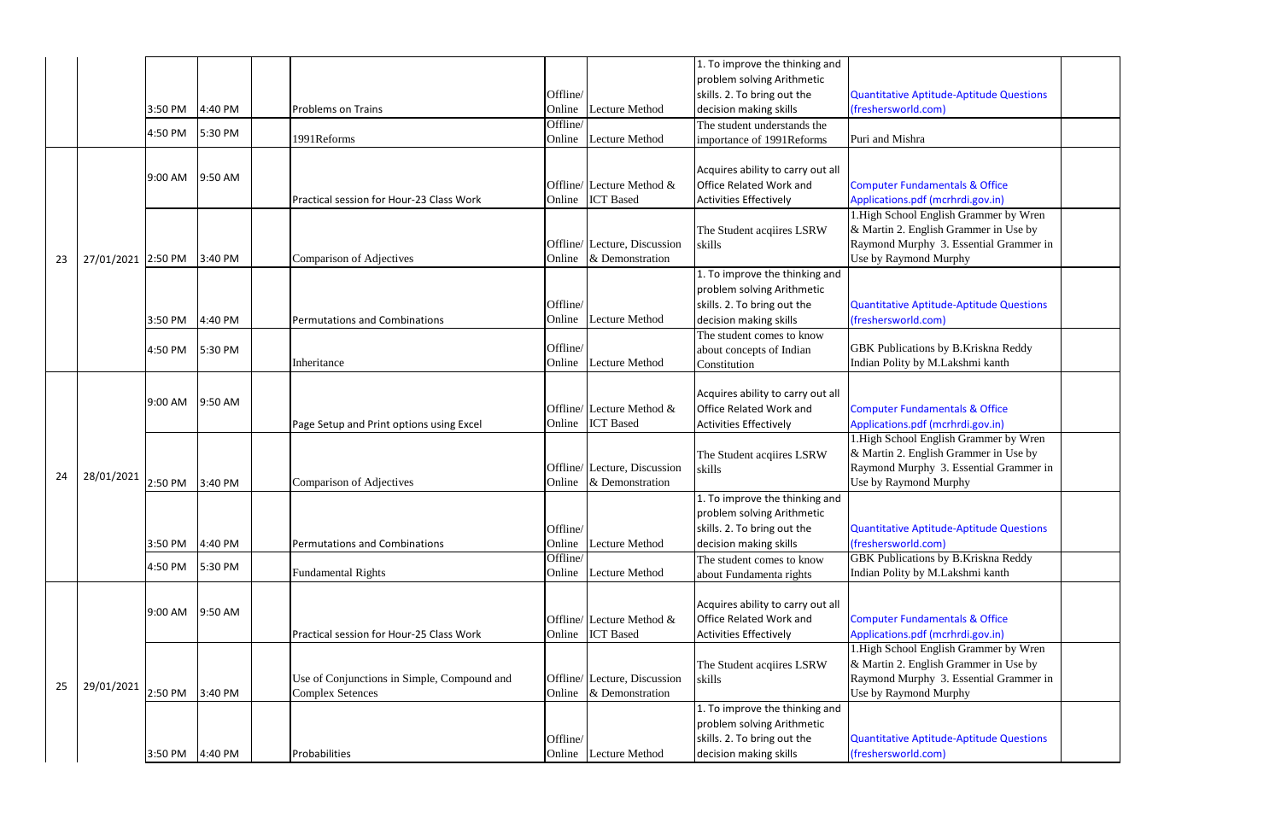|    |                    |         |         |                                             |          |                              | 1. To improve the thinking and    |                                           |
|----|--------------------|---------|---------|---------------------------------------------|----------|------------------------------|-----------------------------------|-------------------------------------------|
|    |                    |         |         |                                             |          |                              | problem solving Arithmetic        |                                           |
|    |                    |         |         |                                             | Offline/ |                              | skills. 2. To bring out the       | Quantitative Aptitude-Aptitude Qu         |
|    |                    | 3:50 PM | 4:40 PM | <b>Problems on Trains</b>                   | Online   | Lecture Method               | decision making skills            | (freshersworld.com)                       |
|    |                    | 4:50 PM | 5:30 PM |                                             | Offline/ |                              | The student understands the       |                                           |
|    |                    |         |         | 1991Reforms                                 | Online   | Lecture Method               | importance of 1991Reforms         | Puri and Mishra                           |
|    |                    |         |         |                                             |          |                              |                                   |                                           |
|    |                    | 9:00 AM | 9:50 AM |                                             |          |                              | Acquires ability to carry out all |                                           |
|    |                    |         |         |                                             |          | Offline/ Lecture Method &    | <b>Office Related Work and</b>    | <b>Computer Fundamentals &amp; Office</b> |
|    |                    |         |         | Practical session for Hour-23 Class Work    | Online   | <b>ICT</b> Based             | <b>Activities Effectively</b>     | Applications.pdf (mcrhrdi.gov.in)         |
|    |                    |         |         |                                             |          |                              |                                   | 1. High School English Grammer b          |
|    |                    |         |         |                                             |          |                              | The Student acqiires LSRW         | & Martin 2. English Grammer in U          |
|    |                    |         |         |                                             |          | Offline/ Lecture, Discussion | skills                            | Raymond Murphy 3. Essential Gr            |
| 23 | 27/01/2021 2:50 PM |         | 3:40 PM | Comparison of Adjectives                    |          | Online & Demonstration       |                                   | Use by Raymond Murphy                     |
|    |                    |         |         |                                             |          |                              | 1. To improve the thinking and    |                                           |
|    |                    |         |         |                                             |          |                              | problem solving Arithmetic        |                                           |
|    |                    |         |         |                                             | Offline/ |                              | skills. 2. To bring out the       | Quantitative Aptitude-Aptitude Qu         |
|    |                    | 3:50 PM | 4:40 PM | Permutations and Combinations               | Online   | <b>Lecture Method</b>        | decision making skills            | (freshersworld.com)                       |
|    |                    |         |         |                                             |          |                              | The student comes to know         |                                           |
|    |                    | 4:50 PM | 5:30 PM |                                             | Offline/ |                              | about concepts of Indian          | GBK Publications by B.Kriskna R           |
|    |                    |         |         | Inheritance                                 | Online   | Lecture Method               | Constitution                      | Indian Polity by M.Lakshmi kanth          |
|    |                    |         |         |                                             |          |                              |                                   |                                           |
|    |                    | 9:00 AM | 9:50 AM |                                             |          |                              | Acquires ability to carry out all |                                           |
|    |                    |         |         |                                             |          | Offline/ Lecture Method &    | <b>Office Related Work and</b>    | <b>Computer Fundamentals &amp; Office</b> |
|    |                    |         |         | Page Setup and Print options using Excel    |          | Online ICT Based             | <b>Activities Effectively</b>     | Applications.pdf (mcrhrdi.gov.in)         |
|    |                    |         |         |                                             |          |                              |                                   | 1. High School English Grammer b          |
|    |                    |         |         |                                             |          |                              | The Student acqiires LSRW         | & Martin 2. English Grammer in U          |
| 24 | 28/01/2021         |         |         |                                             |          | Offline/ Lecture, Discussion | skills                            | Raymond Murphy 3. Essential Gr            |
|    |                    | 2:50 PM | 3:40 PM | Comparison of Adjectives                    | Online   | & Demonstration              |                                   | Use by Raymond Murphy                     |
|    |                    |         |         |                                             |          |                              | 1. To improve the thinking and    |                                           |
|    |                    |         |         |                                             |          |                              | problem solving Arithmetic        |                                           |
|    |                    |         |         |                                             | Offline/ |                              | skills. 2. To bring out the       | Quantitative Aptitude-Aptitude Qu         |
|    |                    | 3:50 PM | 4:40 PM | Permutations and Combinations               | Online   | <b>Lecture Method</b>        | decision making skills            | (freshersworld.com)                       |
|    |                    | 4:50 PM | 5:30 PM |                                             | Offline/ |                              | The student comes to know         | <b>GBK</b> Publications by B.Kriskna R    |
|    |                    |         |         | <b>Fundamental Rights</b>                   | Online   | Lecture Method               | about Fundamenta rights           | Indian Polity by M.Lakshmi kanth          |
|    |                    |         |         |                                             |          |                              |                                   |                                           |
|    |                    | 9:00 AM | 9:50 AM |                                             |          |                              | Acquires ability to carry out all |                                           |
|    |                    |         |         |                                             |          | Offline/ Lecture Method &    | <b>Office Related Work and</b>    | <b>Computer Fundamentals &amp; Office</b> |
|    |                    |         |         | Practical session for Hour-25 Class Work    |          | Online ICT Based             | <b>Activities Effectively</b>     | Applications.pdf (mcrhrdi.gov.in)         |
|    |                    |         |         |                                             |          |                              |                                   | 1. High School English Grammer b          |
|    |                    |         |         |                                             |          |                              | The Student acqiires LSRW         | & Martin 2. English Grammer in U          |
| 25 | 29/01/2021         |         |         | Use of Conjunctions in Simple, Compound and |          | Offline/ Lecture, Discussion | skills                            | Raymond Murphy 3. Essential Gr            |
|    |                    | 2:50 PM | 3:40 PM | <b>Complex Setences</b>                     | Online   | & Demonstration              |                                   | Use by Raymond Murphy                     |
|    |                    |         |         |                                             |          |                              | 1. To improve the thinking and    |                                           |
|    |                    |         |         |                                             |          |                              | problem solving Arithmetic        |                                           |
|    |                    |         |         |                                             | Offline/ |                              | skills. 2. To bring out the       | Quantitative Aptitude-Aptitude Qu         |
|    |                    | 3:50 PM | 4:40 PM | Probabilities                               |          | Online Lecture Method        | decision making skills            | (freshersworld.com)                       |

| <b>Quantitative Aptitude-Aptitude Questions</b><br>(freshersworld.com)                                                                             |  |
|----------------------------------------------------------------------------------------------------------------------------------------------------|--|
| Puri and Mishra                                                                                                                                    |  |
|                                                                                                                                                    |  |
| <b>Computer Fundamentals &amp; Office</b><br>Applications.pdf (mcrhrdi.gov.in)                                                                     |  |
| 1. High School English Grammer by Wren<br>& Martin 2. English Grammer in Use by<br>Raymond Murphy 3. Essential Grammer in<br>Use by Raymond Murphy |  |
|                                                                                                                                                    |  |
| <b>Quantitative Aptitude-Aptitude Questions</b><br>(freshersworld.com)                                                                             |  |
| GBK Publications by B.Kriskna Reddy<br>Indian Polity by M.Lakshmi kanth                                                                            |  |
|                                                                                                                                                    |  |
| <b>Computer Fundamentals &amp; Office</b><br>Applications.pdf (mcrhrdi.gov.in)                                                                     |  |
| 1. High School English Grammer by Wren<br>& Martin 2. English Grammer in Use by<br>Raymond Murphy 3. Essential Grammer in<br>Use by Raymond Murphy |  |
|                                                                                                                                                    |  |
| <b>Quantitative Aptitude-Aptitude Questions</b><br>(freshersworld.com)                                                                             |  |
| <b>GBK Publications by B.Kriskna Reddy</b><br>Indian Polity by M.Lakshmi kanth                                                                     |  |
|                                                                                                                                                    |  |
| <b>Computer Fundamentals &amp; Office</b><br>Applications.pdf (mcrhrdi.gov.in)                                                                     |  |
| 1. High School English Grammer by Wren<br>& Martin 2. English Grammer in Use by<br>Raymond Murphy 3. Essential Grammer in<br>Use by Raymond Murphy |  |
|                                                                                                                                                    |  |
| <b>Quantitative Aptitude-Aptitude Questions</b><br>(freshersworld.com)                                                                             |  |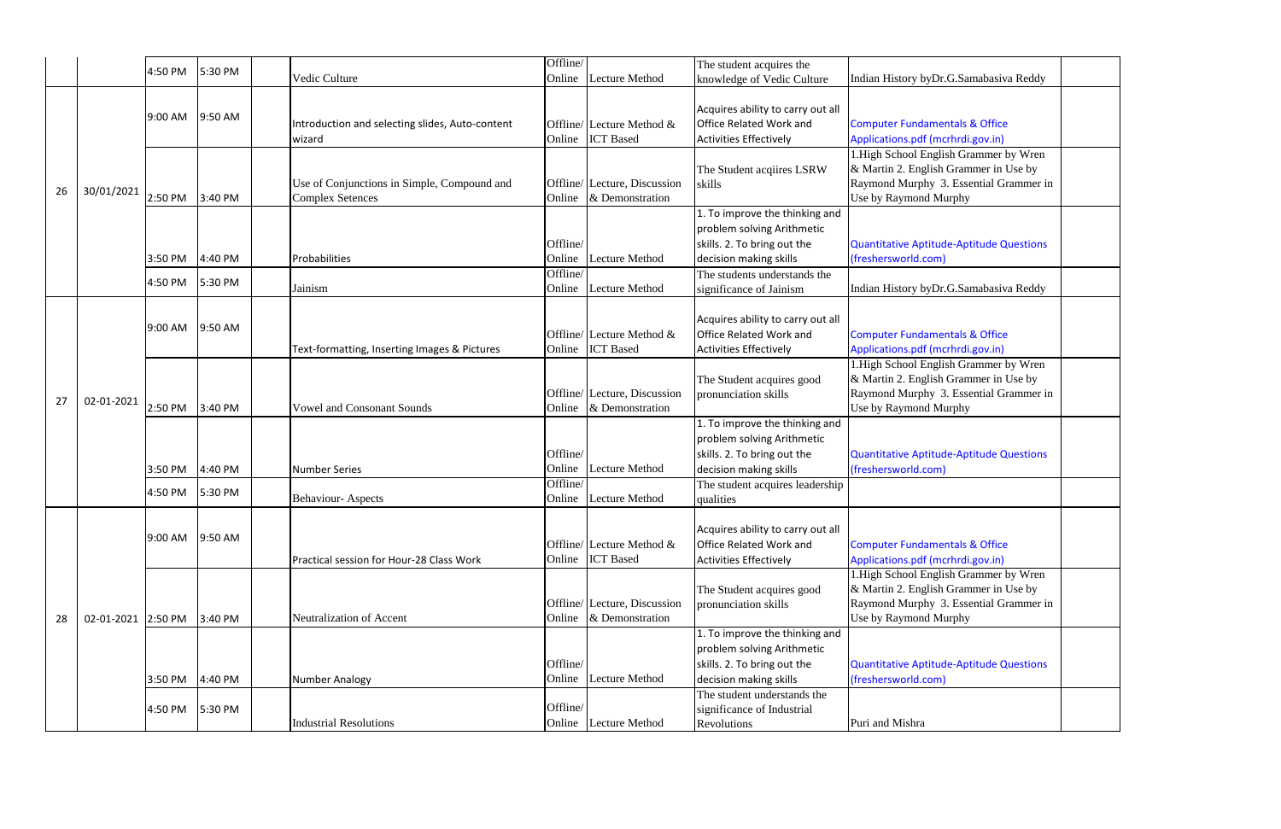|    |            | 4:50 PM | 5:30 PM | Vedic Culture                                                          | Offline/<br>Lecture Method<br>Online                       | The student acquires the<br>knowledge of Vedic Culture                                                                                                   | Indian History byDr.G.Samabasiva Reddy                                                                                                           |
|----|------------|---------|---------|------------------------------------------------------------------------|------------------------------------------------------------|----------------------------------------------------------------------------------------------------------------------------------------------------------|--------------------------------------------------------------------------------------------------------------------------------------------------|
|    |            | 9:00 AM | 9:50 AM | Introduction and selecting slides, Auto-content<br>wizard              | Offline/ Lecture Method &<br><b>ICT</b> Based<br>Online    | Acquires ability to carry out all<br><b>Office Related Work and</b><br><b>Activities Effectively</b>                                                     | <b>Computer Fundamentals &amp; Office</b><br>Applications.pdf (mcrhrdi.gov.in)                                                                   |
| 26 | 30/01/2021 | 2:50 PM | 3:40 PM | Use of Conjunctions in Simple, Compound and<br><b>Complex Setences</b> | Offline/ Lecture, Discussion<br>& Demonstration<br>Online  | The Student acqiires LSRW<br>skills                                                                                                                      | 1. High School English Grammer by Wren<br>& Martin 2. English Grammer in Use by<br>Raymond Murphy 3. Essential Grammer<br>Use by Raymond Murphy  |
|    |            | 3:50 PM | 4:40 PM | Probabilities                                                          | Offline/<br><b>Lecture Method</b><br>Online                | $\overline{1.}$ To improve the thinking and<br>problem solving Arithmetic<br>skills. 2. To bring out the<br>decision making skills                       | <b>Quantitative Aptitude-Aptitude Questions</b><br>(freshersworld.com)                                                                           |
|    |            | 4:50 PM | 5:30 PM | Jainism                                                                | Offline/<br>Lecture Method<br>Online                       | The students understands the<br>significance of Jainism                                                                                                  | Indian History byDr.G.Samabasiva Reddy                                                                                                           |
| 27 |            | 9:00 AM | 9:50 AM | Text-formatting, Inserting Images & Pictures                           | Offline/ Lecture Method $\&$<br><b>ICT</b> Based<br>Online | Acquires ability to carry out all<br><b>Office Related Work and</b><br><b>Activities Effectively</b>                                                     | <b>Computer Fundamentals &amp; Office</b><br>Applications.pdf (mcrhrdi.gov.in)                                                                   |
|    | 02-01-2021 | 2:50 PM | 3:40 PM | <b>Vowel and Consonant Sounds</b>                                      | Offline/ Lecture, Discussion<br>& Demonstration<br>Online  | The Student acquires good<br>pronunciation skills                                                                                                        | 1. High School English Grammer by Wren<br>& Martin 2. English Grammer in Use by<br>Raymond Murphy 3. Essential Grammer:<br>Use by Raymond Murphy |
|    |            | 3:50 PM | 4:40 PM | <b>Number Series</b>                                                   | Offline/<br><b>Lecture Method</b><br>Online<br>Offline/    | 1. To improve the thinking and<br>problem solving Arithmetic<br>skills. 2. To bring out the<br>decision making skills<br>The student acquires leadership | <b>Quantitative Aptitude-Aptitude Questions</b><br>(freshersworld.com)                                                                           |
|    |            | 4:50 PM | 5:30 PM | <b>Behaviour-Aspects</b>                                               | <b>Lecture Method</b><br>Online                            | qualities                                                                                                                                                |                                                                                                                                                  |
| 28 |            | 9:00 AM | 9:50 AM | Practical session for Hour-28 Class Work                               | Offline/ Lecture Method $\&$<br><b>ICT</b> Based<br>Online | Acquires ability to carry out all<br>Office Related Work and<br><b>Activities Effectively</b>                                                            | <b>Computer Fundamentals &amp; Office</b><br>Applications.pdf (mcrhrdi.gov.in)                                                                   |
|    | 02-01-2021 | 2:50 PM | 3:40 PM | Neutralization of Accent                                               | Offline/ Lecture, Discussion<br>& Demonstration<br>Online  | The Student acquires good<br>pronunciation skills                                                                                                        | 1. High School English Grammer by Wren<br>& Martin 2. English Grammer in Use by<br>Raymond Murphy 3. Essential Grammer:<br>Use by Raymond Murphy |
|    |            | 3:50 PM | 4:40 PM | Number Analogy                                                         | Offline/<br><b>Lecture Method</b><br>Online                | 1. To improve the thinking and<br>problem solving Arithmetic<br>skills. 2. To bring out the<br>decision making skills                                    | <b>Quantitative Aptitude-Aptitude Questions</b><br>(freshersworld.com)                                                                           |
|    |            | 4:50 PM | 5:30 PM | <b>Industrial Resolutions</b>                                          | Offline/<br>Online Lecture Method                          | The student understands the<br>significance of Industrial<br>Revolutions                                                                                 | Puri and Mishra                                                                                                                                  |

| Indian History byDr.G.Samabasiva Reddy          |  |
|-------------------------------------------------|--|
|                                                 |  |
| <b>Computer Fundamentals &amp; Office</b>       |  |
| Applications.pdf (mcrhrdi.gov.in)               |  |
| 1. High School English Grammer by Wren          |  |
| & Martin 2. English Grammer in Use by           |  |
| Raymond Murphy 3. Essential Grammer in          |  |
| Use by Raymond Murphy                           |  |
|                                                 |  |
|                                                 |  |
| <b>Quantitative Aptitude-Aptitude Questions</b> |  |
| (freshersworld.com)                             |  |
|                                                 |  |
| Indian History byDr.G.Samabasiva Reddy          |  |
|                                                 |  |
|                                                 |  |
| <b>Computer Fundamentals &amp; Office</b>       |  |
| Applications.pdf (mcrhrdi.gov.in)               |  |
| 1.High School English Grammer by Wren           |  |
| & Martin 2. English Grammer in Use by           |  |
| Raymond Murphy 3. Essential Grammer in          |  |
| Use by Raymond Murphy                           |  |
|                                                 |  |
|                                                 |  |
| <b>Quantitative Aptitude-Aptitude Questions</b> |  |
| (freshersworld.com)                             |  |
|                                                 |  |
|                                                 |  |
|                                                 |  |
| <b>Computer Fundamentals &amp; Office</b>       |  |
| Applications.pdf (mcrhrdi.gov.in)               |  |
| 1. High School English Grammer by Wren          |  |
| & Martin 2. English Grammer in Use by           |  |
| Raymond Murphy 3. Essential Grammer in          |  |
| Use by Raymond Murphy                           |  |
|                                                 |  |
|                                                 |  |
| <b>Quantitative Aptitude-Aptitude Questions</b> |  |
| (freshersworld.com)                             |  |
|                                                 |  |
| Puri and Mishra                                 |  |
|                                                 |  |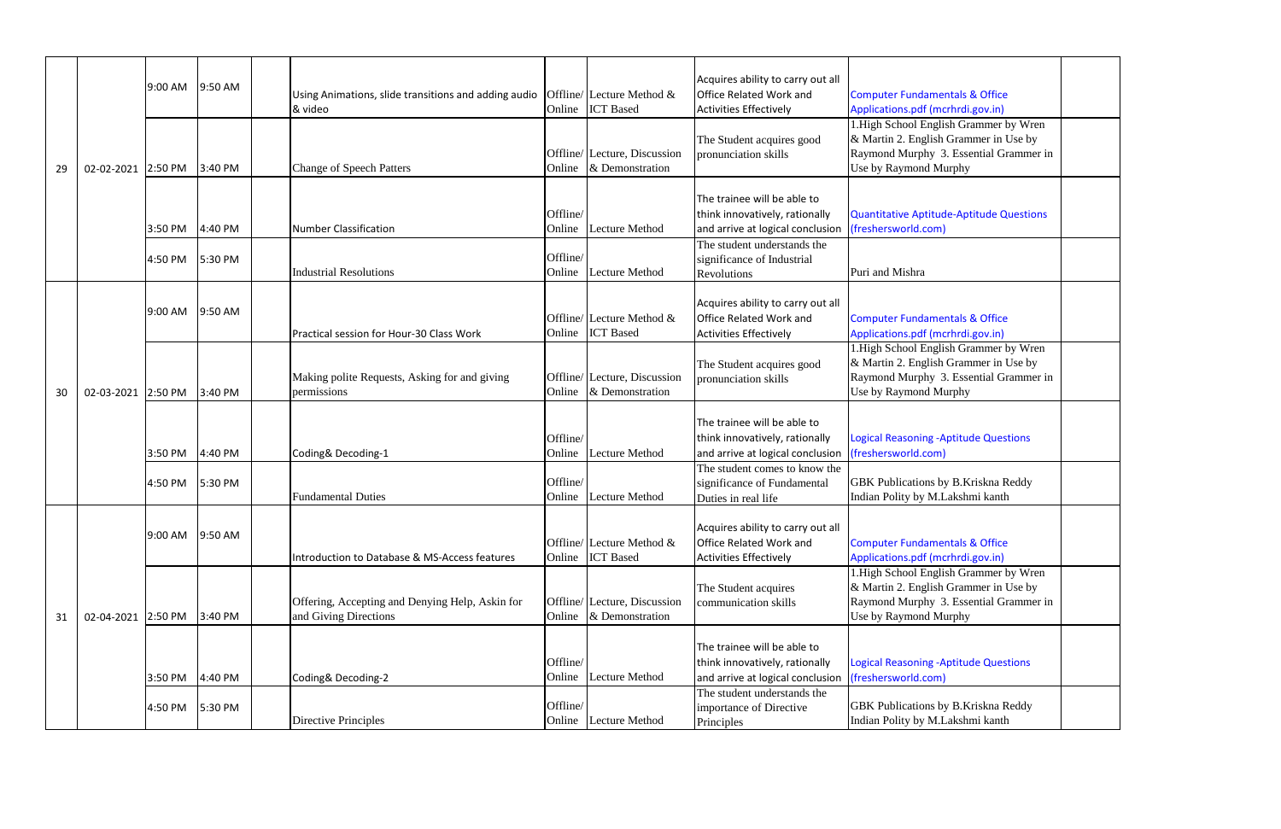|    |                    | 9:00 AM | 9:50 AM | Using Animations, slide transitions and adding audio<br>& video          |                    | Offline/ Lecture Method $\&$<br>Online ICT Based | Acquires ability to carry out all<br><b>Office Related Work and</b><br><b>Activities Effectively</b> | <b>Computer Fundamentals &amp; Office</b><br>Applications.pdf (mcrhrdi.gov.in)                                                             |
|----|--------------------|---------|---------|--------------------------------------------------------------------------|--------------------|--------------------------------------------------|------------------------------------------------------------------------------------------------------|--------------------------------------------------------------------------------------------------------------------------------------------|
| 29 | 02-02-2021 2:50 PM |         | 3:40 PM | <b>Change of Speech Patters</b>                                          | Online             | Offline/ Lecture, Discussion<br>& Demonstration  | The Student acquires good<br>pronunciation skills                                                    | 1. High School English Grammer by Wr<br>& Martin 2. English Grammer in Use b<br>Raymond Murphy 3. Essential Gramm<br>Use by Raymond Murphy |
|    |                    | 3:50 PM | 4:40 PM | <b>Number Classification</b>                                             | Offline/<br>Online | <b>Lecture Method</b>                            | The trainee will be able to<br>think innovatively, rationally<br>and arrive at logical conclusion    | Quantitative Aptitude-Aptitude Questio<br>(freshersworld.com)                                                                              |
|    |                    | 4:50 PM | 5:30 PM | <b>Industrial Resolutions</b>                                            | Offline/<br>Online | <b>Lecture Method</b>                            | The student understands the<br>significance of Industrial<br>Revolutions                             | Puri and Mishra                                                                                                                            |
|    |                    | 9:00 AM | 9:50 AM | Practical session for Hour-30 Class Work                                 | Online             | Offline/ Lecture Method &<br><b>ICT</b> Based    | Acquires ability to carry out all<br><b>Office Related Work and</b><br><b>Activities Effectively</b> | <b>Computer Fundamentals &amp; Office</b><br>Applications.pdf (mcrhrdi.gov.in)                                                             |
| 30 | 02-03-2021 2:50 PM |         | 3:40 PM | Making polite Requests, Asking for and giving<br>permissions             | Online             | Offline/ Lecture, Discussion<br>& Demonstration  | The Student acquires good<br>pronunciation skills                                                    | 1. High School English Grammer by Wi<br>& Martin 2. English Grammer in Use b<br>Raymond Murphy 3. Essential Gramm<br>Use by Raymond Murphy |
|    |                    | 3:50 PM | 4:40 PM | Coding& Decoding-1                                                       | Offline/<br>Online | <b>Lecture Method</b>                            | The trainee will be able to<br>think innovatively, rationally<br>and arrive at logical conclusion    | <b>Logical Reasoning -Aptitude Questions</b><br>(freshersworld.com)                                                                        |
|    |                    | 4:50 PM | 5:30 PM | <b>Fundamental Duties</b>                                                | Offline/<br>Online | <b>Lecture Method</b>                            | The student comes to know the<br>significance of Fundamental<br>Duties in real life                  | <b>GBK</b> Publications by B.Kriskna Reddy<br>Indian Polity by M.Lakshmi kanth                                                             |
|    | 02-04-2021 2:50 PM | 9:00 AM | 9:50 AM | Introduction to Database & MS-Access features                            | Online             | Offline/ Lecture Method $\&$<br><b>ICT</b> Based | Acquires ability to carry out all<br><b>Office Related Work and</b><br><b>Activities Effectively</b> | <b>Computer Fundamentals &amp; Office</b><br>Applications.pdf (mcrhrdi.gov.in)                                                             |
| 31 |                    |         | 3:40 PM | Offering, Accepting and Denying Help, Askin for<br>and Giving Directions | Online             | Offline/ Lecture, Discussion<br>& Demonstration  | The Student acquires<br>communication skills                                                         | 1. High School English Grammer by Wr<br>& Martin 2. English Grammer in Use b<br>Raymond Murphy 3. Essential Gramm<br>Use by Raymond Murphy |
|    |                    | 3:50 PM | 4:40 PM | Coding& Decoding-2                                                       | Offline/<br>Online | Lecture Method                                   | The trainee will be able to<br>think innovatively, rationally<br>and arrive at logical conclusion    | <b>Logical Reasoning -Aptitude Questions</b><br>(freshersworld.com)                                                                        |
|    |                    | 4:50 PM | 5:30 PM | <b>Directive Principles</b>                                              | Offline/           | Online Lecture Method                            | The student understands the<br>importance of Directive<br>Principles                                 | GBK Publications by B.Kriskna Reddy<br>Indian Polity by M.Lakshmi kanth                                                                    |

| <b>Computer Fundamentals &amp; Office</b><br>Applications.pdf (mcrhrdi.gov.in) |  |
|--------------------------------------------------------------------------------|--|
| 1. High School English Grammer by Wren                                         |  |
| & Martin 2. English Grammer in Use by                                          |  |
| Raymond Murphy 3. Essential Grammer in                                         |  |
| Use by Raymond Murphy                                                          |  |
|                                                                                |  |
|                                                                                |  |
| <b>Quantitative Aptitude-Aptitude Questions</b><br>(freshersworld.com)         |  |
|                                                                                |  |
|                                                                                |  |
| Puri and Mishra                                                                |  |
|                                                                                |  |
| <b>Computer Fundamentals &amp; Office</b>                                      |  |
| Applications.pdf (mcrhrdi.gov.in)                                              |  |
| 1. High School English Grammer by Wren                                         |  |
| & Martin 2. English Grammer in Use by                                          |  |
| Raymond Murphy 3. Essential Grammer in                                         |  |
| Use by Raymond Murphy                                                          |  |
|                                                                                |  |
|                                                                                |  |
| <b>Logical Reasoning -Aptitude Questions</b>                                   |  |
| (freshersworld.com)                                                            |  |
| GBK Publications by B.Kriskna Reddy                                            |  |
| Indian Polity by M.Lakshmi kanth                                               |  |
|                                                                                |  |
|                                                                                |  |
| <b>Computer Fundamentals &amp; Office</b>                                      |  |
| Applications.pdf (mcrhrdi.gov.in)                                              |  |
| 1. High School English Grammer by Wren                                         |  |
| & Martin 2. English Grammer in Use by                                          |  |
| Raymond Murphy 3. Essential Grammer in                                         |  |
| Use by Raymond Murphy                                                          |  |
|                                                                                |  |
| <b>Logical Reasoning -Aptitude Questions</b>                                   |  |
| (freshersworld.com)                                                            |  |
|                                                                                |  |
| GBK Publications by B.Kriskna Reddy                                            |  |
| Indian Polity by M.Lakshmi kanth                                               |  |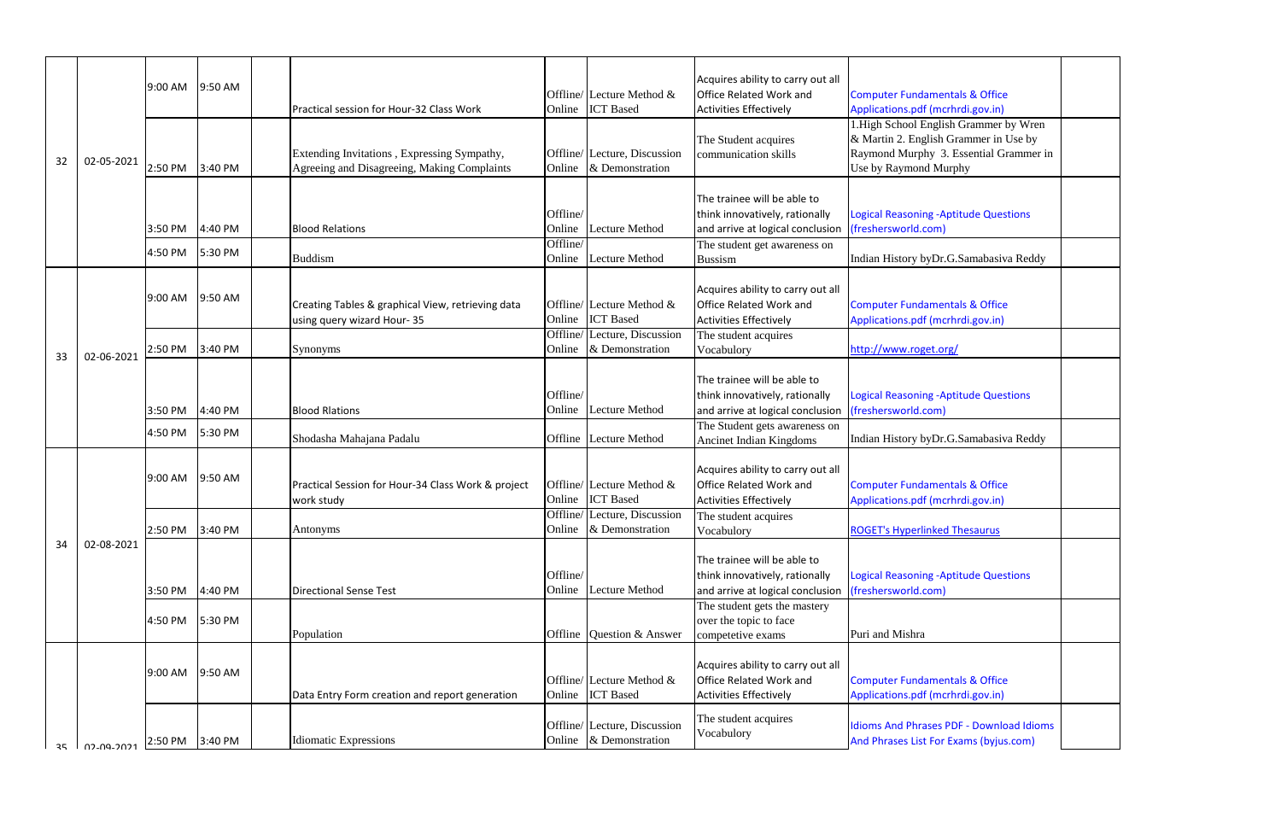| <b>Computer Fundamentals &amp; Office</b>                                                                                                                                               |  |
|-----------------------------------------------------------------------------------------------------------------------------------------------------------------------------------------|--|
| Applications.pdf (mcrhrdi.gov.in)<br>1. High School English Grammer by Wren<br>& Martin 2. English Grammer in Use by<br>Raymond Murphy 3. Essential Grammer in<br>Use by Raymond Murphy |  |
|                                                                                                                                                                                         |  |
| <b>Logical Reasoning -Aptitude Questions</b><br>(freshersworld.com)                                                                                                                     |  |
| Indian History byDr.G.Samabasiva Reddy                                                                                                                                                  |  |
| <b>Computer Fundamentals &amp; Office</b><br>Applications.pdf (mcrhrdi.gov.in)                                                                                                          |  |
| http://www.roget.org/                                                                                                                                                                   |  |
|                                                                                                                                                                                         |  |
| <b>Logical Reasoning -Aptitude Questions</b><br>(freshersworld.com)                                                                                                                     |  |
| Indian History byDr.G.Samabasiva Reddy                                                                                                                                                  |  |
|                                                                                                                                                                                         |  |
| <b>Computer Fundamentals &amp; Office</b><br>Applications.pdf (mcrhrdi.gov.in)                                                                                                          |  |
| <b>ROGET's Hyperlinked Thesaurus</b>                                                                                                                                                    |  |
|                                                                                                                                                                                         |  |
| <b>Logical Reasoning -Aptitude Questions</b><br>(freshersworld.com)                                                                                                                     |  |
| Puri and Mishra                                                                                                                                                                         |  |
|                                                                                                                                                                                         |  |
| <b>Computer Fundamentals &amp; Office</b><br>Applications.pdf (mcrhrdi.gov.in)                                                                                                          |  |
| <b>Idioms And Phrases PDF - Download Idioms</b><br>And Phrases List For Exams (byjus.com)                                                                                               |  |

|    |                 | 9:00 AM | 9:50 AM |                                                                                            |          |                                                 | Acquires ability to carry out all |                                                               |
|----|-----------------|---------|---------|--------------------------------------------------------------------------------------------|----------|-------------------------------------------------|-----------------------------------|---------------------------------------------------------------|
|    |                 |         |         |                                                                                            |          | Offline/ Lecture Method $\&$                    | Office Related Work and           | <b>Computer Fundamentals &amp; Office</b>                     |
|    |                 |         |         | Practical session for Hour-32 Class Work                                                   | Online   | <b>ICT</b> Based                                | <b>Activities Effectively</b>     | Applications.pdf (mcrhrdi.gov.in)                             |
|    |                 |         |         |                                                                                            |          |                                                 |                                   | 1. High School English Grammer by Wren                        |
|    |                 |         |         |                                                                                            |          |                                                 | The Student acquires              | & Martin 2. English Grammer in Use by                         |
| 32 | 02-05-2021      | 2:50 PM | 3:40 PM | Extending Invitations, Expressing Sympathy,<br>Agreeing and Disagreeing, Making Complaints | Online   | Offline/ Lecture, Discussion<br>& Demonstration | communication skills              | Raymond Murphy 3. Essential Grammer:<br>Use by Raymond Murphy |
|    |                 |         |         |                                                                                            |          |                                                 |                                   |                                                               |
|    |                 |         |         |                                                                                            |          |                                                 | The trainee will be able to       |                                                               |
|    |                 |         |         |                                                                                            | Offline/ |                                                 | think innovatively, rationally    | <b>Logical Reasoning -Aptitude Questions</b>                  |
|    |                 | 3:50 PM | 4:40 PM | <b>Blood Relations</b>                                                                     | Online   | <b>Lecture Method</b>                           | and arrive at logical conclusion  | (freshersworld.com)                                           |
|    |                 |         |         |                                                                                            | Offline/ |                                                 | The student get awareness on      |                                                               |
|    |                 | 4:50 PM | 5:30 PM | <b>Buddism</b>                                                                             | Online   | <b>Lecture Method</b>                           | <b>Bussism</b>                    | Indian History byDr.G.Samabasiva Reddy                        |
|    |                 |         |         |                                                                                            |          |                                                 |                                   |                                                               |
|    |                 |         |         |                                                                                            |          |                                                 | Acquires ability to carry out all |                                                               |
|    |                 | 9:00 AM | 9:50 AM | Creating Tables & graphical View, retrieving data                                          |          | Offline/ Lecture Method $\&$                    | <b>Office Related Work and</b>    | <b>Computer Fundamentals &amp; Office</b>                     |
|    |                 |         |         | using query wizard Hour-35                                                                 | Online   | <b>ICT</b> Based                                | <b>Activities Effectively</b>     | Applications.pdf (mcrhrdi.gov.in)                             |
|    |                 |         |         |                                                                                            | Offline/ | Lecture, Discussion                             | The student acquires              |                                                               |
|    |                 | 2:50 PM | 3:40 PM | <b>Synonyms</b>                                                                            | Online   | & Demonstration                                 | Vocabulory                        | http://www.roget.org/                                         |
| 33 | 02-06-2021      |         |         |                                                                                            |          |                                                 |                                   |                                                               |
|    |                 |         |         |                                                                                            |          |                                                 | The trainee will be able to       |                                                               |
|    |                 |         |         |                                                                                            | Offline/ |                                                 | think innovatively, rationally    | <b>Logical Reasoning -Aptitude Questions</b>                  |
|    |                 | 3:50 PM | 4:40 PM | <b>Blood Rlations</b>                                                                      | Online   | <b>Lecture Method</b>                           | and arrive at logical conclusion  | (freshersworld.com)                                           |
|    |                 |         |         |                                                                                            |          |                                                 | The Student gets awareness on     |                                                               |
|    |                 | 4:50 PM | 5:30 PM | Shodasha Mahajana Padalu                                                                   | Offline  | <b>Lecture Method</b>                           | Ancinet Indian Kingdoms           | Indian History byDr.G.Samabasiva Reddy                        |
|    |                 |         |         |                                                                                            |          |                                                 |                                   |                                                               |
|    |                 | 9:00 AM | 9:50 AM |                                                                                            |          |                                                 | Acquires ability to carry out all |                                                               |
|    |                 |         |         | Practical Session for Hour-34 Class Work & project                                         |          | Offline/ Lecture Method $\&$                    | Office Related Work and           | <b>Computer Fundamentals &amp; Office</b>                     |
|    |                 |         |         | work study                                                                                 | Online   | <b>ICT</b> Based                                | <b>Activities Effectively</b>     | Applications.pdf (mcrhrdi.gov.in)                             |
|    |                 |         |         |                                                                                            |          | Offline/ Lecture, Discussion                    | The student acquires              |                                                               |
|    |                 | 2:50 PM | 3:40 PM | Antonyms                                                                                   | Online   | & Demonstration                                 | Vocabulory                        | <b>ROGET's Hyperlinked Thesaurus</b>                          |
| 34 | 02-08-2021      |         |         |                                                                                            |          |                                                 |                                   |                                                               |
|    |                 |         |         |                                                                                            |          |                                                 | The trainee will be able to       |                                                               |
|    |                 |         |         |                                                                                            | Offline/ |                                                 | think innovatively, rationally    | Logical Reasoning - Aptitude Questions                        |
|    |                 | 3:50 PM | 4:40 PM | Directional Sense Test                                                                     | Online   | <b>Lecture Method</b>                           | and arrive at logical conclusion  | (freshersworld.com)                                           |
|    |                 |         |         |                                                                                            |          |                                                 | The student gets the mastery      |                                                               |
|    |                 | 4:50 PM | 5:30 PM |                                                                                            |          |                                                 | over the topic to face            | Puri and Mishra                                               |
|    |                 |         |         | Population                                                                                 | Offline  | Question & Answer                               | competetive exams                 |                                                               |
|    |                 |         |         |                                                                                            |          |                                                 | Acquires ability to carry out all |                                                               |
|    |                 | 9:00 AM | 9:50 AM |                                                                                            |          | Offline/ Lecture Method $\&$                    | Office Related Work and           | <b>Computer Fundamentals &amp; Office</b>                     |
|    |                 |         |         | Data Entry Form creation and report generation                                             | Online   | <b>ICT</b> Based                                | <b>Activities Effectively</b>     | Applications.pdf (mcrhrdi.gov.in)                             |
|    |                 |         |         |                                                                                            |          |                                                 |                                   |                                                               |
|    |                 |         |         |                                                                                            |          | Offline/ Lecture, Discussion                    | The student acquires              | Idioms And Phrases PDF - Download Idion                       |
|    |                 | 2:50 PM | 3:40 PM | <b>Idiomatic Expressions</b>                                                               | Online   | & Demonstration                                 | Vocabulory                        | And Phrases List For Exams (byjus.com)                        |
|    | 35 1 02-09-2021 |         |         |                                                                                            |          |                                                 |                                   |                                                               |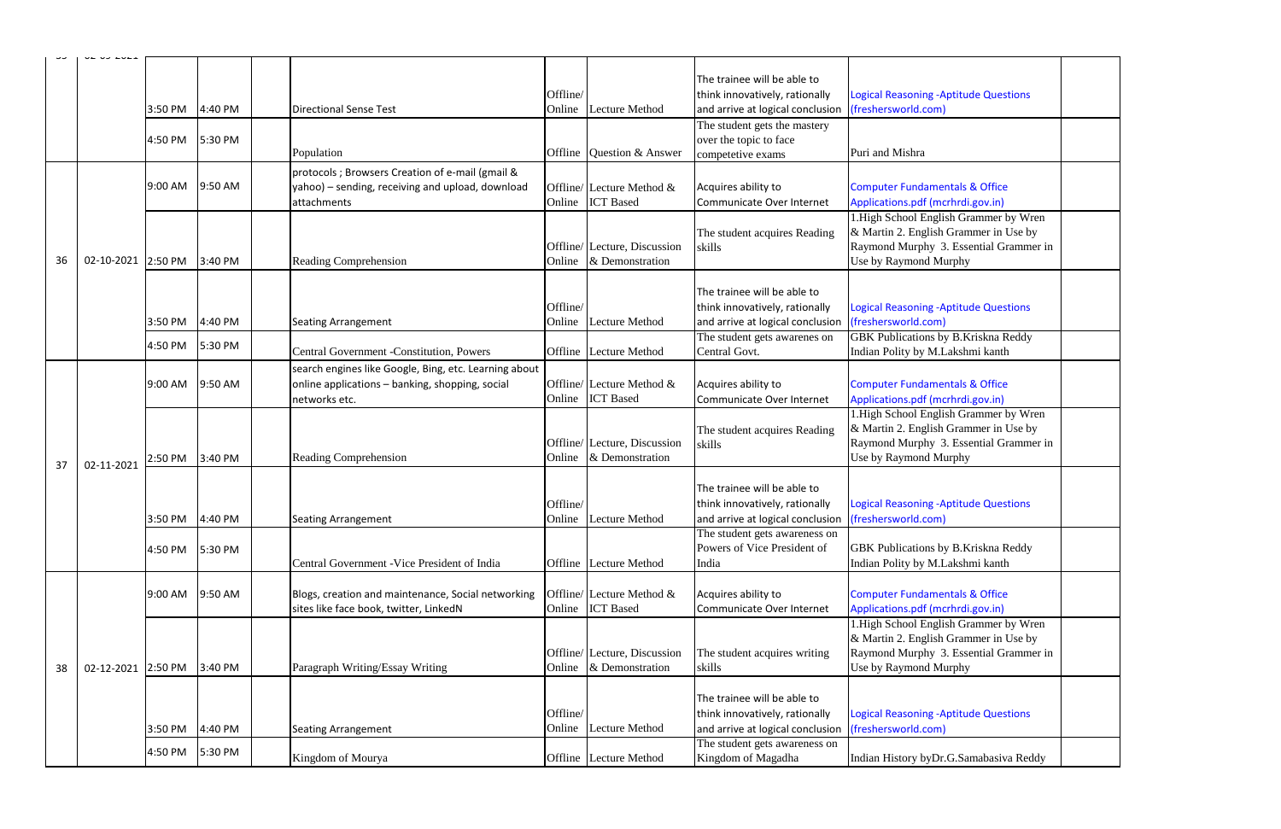| <b>Logical Reasoning -Aptitude Questions</b><br>(freshersworld.com) |  |
|---------------------------------------------------------------------|--|
|                                                                     |  |
| Puri and Mishra                                                     |  |
| <b>Computer Fundamentals &amp; Office</b>                           |  |
| Applications.pdf (mcrhrdi.gov.in)                                   |  |
| 1.High School English Grammer by Wren                               |  |
| & Martin 2. English Grammer in Use by                               |  |
| Raymond Murphy 3. Essential Grammer in                              |  |
| Use by Raymond Murphy                                               |  |
|                                                                     |  |
| <b>Logical Reasoning -Aptitude Questions</b>                        |  |
| (freshersworld.com)                                                 |  |
| <b>GBK Publications by B.Kriskna Reddy</b>                          |  |
| Indian Polity by M.Lakshmi kanth                                    |  |
|                                                                     |  |
| <b>Computer Fundamentals &amp; Office</b>                           |  |
| Applications.pdf (mcrhrdi.gov.in)                                   |  |
| 1. High School English Grammer by Wren                              |  |
| & Martin 2. English Grammer in Use by                               |  |
| Raymond Murphy 3. Essential Grammer in                              |  |
| Use by Raymond Murphy                                               |  |
|                                                                     |  |
| <b>Logical Reasoning -Aptitude Questions</b>                        |  |
| (freshersworld.com)                                                 |  |
|                                                                     |  |
| GBK Publications by B.Kriskna Reddy                                 |  |
| Indian Polity by M.Lakshmi kanth                                    |  |
| <b>Computer Fundamentals &amp; Office</b>                           |  |
| Applications.pdf (mcrhrdi.gov.in)                                   |  |
| 1. High School English Grammer by Wren                              |  |
| & Martin 2. English Grammer in Use by                               |  |
| Raymond Murphy 3. Essential Grammer in                              |  |
| Use by Raymond Murphy                                               |  |
|                                                                     |  |
| <b>Logical Reasoning -Aptitude Questions</b>                        |  |
| (freshersworld.com)                                                 |  |
|                                                                     |  |
| Indian History byDr.G.Samabasiva Reddy                              |  |

|    | UL VJ LULI                 |                 |         |                                                                                                                           | Offline/           |                                                  | The trainee will be able to<br>think innovatively, rationally                                     | <b>Logical Reasoning -Aptitude Questions</b>                                                                                                     |
|----|----------------------------|-----------------|---------|---------------------------------------------------------------------------------------------------------------------------|--------------------|--------------------------------------------------|---------------------------------------------------------------------------------------------------|--------------------------------------------------------------------------------------------------------------------------------------------------|
|    |                            | 3:50 PM         | 4:40 PM | <b>Directional Sense Test</b>                                                                                             | Online             | <b>Lecture Method</b>                            | and arrive at logical conclusion                                                                  | (freshersworld.com)                                                                                                                              |
|    |                            | 4:50 PM         | 5:30 PM |                                                                                                                           |                    |                                                  | The student gets the mastery<br>over the topic to face                                            |                                                                                                                                                  |
|    |                            |                 |         | Population                                                                                                                | Offline            | Question & Answer                                | competetive exams                                                                                 | Puri and Mishra                                                                                                                                  |
|    |                            | 9:00 AM         | 9:50 AM | protocols; Browsers Creation of e-mail (gmail &<br>yahoo) - sending, receiving and upload, download<br>attachments        | Online             | Offline/ Lecture Method &<br><b>ICT</b> Based    | Acquires ability to<br>Communicate Over Internet                                                  | <b>Computer Fundamentals &amp; Office</b><br>Applications.pdf (mcrhrdi.gov.in)                                                                   |
| 36 | 02-10-2021 2:50 PM 3:40 PM |                 |         | Reading Comprehension                                                                                                     | Online             | Offline/ Lecture, Discussion<br>& Demonstration  | The student acquires Reading<br>skills                                                            | 1. High School English Grammer by Wren<br>& Martin 2. English Grammer in Use by<br>Raymond Murphy 3. Essential Grammer:<br>Use by Raymond Murphy |
|    |                            | 3:50 PM         | 4:40 PM | <b>Seating Arrangement</b>                                                                                                | Offline/<br>Online | <b>Lecture Method</b>                            | The trainee will be able to<br>think innovatively, rationally<br>and arrive at logical conclusion | <b>Logical Reasoning -Aptitude Questions</b><br>(freshersworld.com)                                                                              |
|    |                            | 4:50 PM         | 5:30 PM |                                                                                                                           |                    |                                                  | The student gets awarenes on                                                                      | <b>GBK Publications by B.Kriskna Reddy</b>                                                                                                       |
|    |                            |                 |         | Central Government -Constitution, Powers                                                                                  | Offline            | <b>Lecture Method</b>                            | Central Govt.                                                                                     | Indian Polity by M.Lakshmi kanth                                                                                                                 |
|    |                            | 9:00 AM 9:50 AM |         | search engines like Google, Bing, etc. Learning about<br>online applications - banking, shopping, social<br>networks etc. | Online             | Offline/ Lecture Method &<br><b>ICT</b> Based    | Acquires ability to<br>Communicate Over Internet                                                  | <b>Computer Fundamentals &amp; Office</b><br>Applications.pdf (mcrhrdi.gov.in)                                                                   |
| 37 | 02-11-2021                 | 2:50 PM         | 3:40 PM | Reading Comprehension                                                                                                     | Online             | Offline/ Lecture, Discussion<br>& Demonstration  | The student acquires Reading<br>skills                                                            | 1. High School English Grammer by Wren<br>& Martin 2. English Grammer in Use by<br>Raymond Murphy 3. Essential Grammer:<br>Use by Raymond Murphy |
|    |                            |                 |         |                                                                                                                           | Offline/           |                                                  | The trainee will be able to<br>think innovatively, rationally                                     | <b>Logical Reasoning - Aptitude Questions</b>                                                                                                    |
|    |                            | 3:50 PM 4:40 PM |         | <b>Seating Arrangement</b>                                                                                                |                    | Online Lecture Method                            | and arrive at logical conclusion (freshersworld.com)                                              |                                                                                                                                                  |
|    |                            | 4:50 PM         | 5:30 PM | Central Government - Vice President of India                                                                              | Offline            | Lecture Method                                   | The student gets awareness on<br>Powers of Vice President of<br>India                             | GBK Publications by B.Kriskna Reddy<br>Indian Polity by M.Lakshmi kanth                                                                          |
|    |                            | 9:00 AM         | 9:50 AM | Blogs, creation and maintenance, Social networking<br>sites like face book, twitter, LinkedN                              | Online             | Offline/ Lecture Method $\&$<br><b>ICT</b> Based | Acquires ability to<br>Communicate Over Internet                                                  | <b>Computer Fundamentals &amp; Office</b><br>Applications.pdf (mcrhrdi.gov.in)                                                                   |
|    |                            |                 |         |                                                                                                                           |                    | Offline/ Lecture, Discussion                     | The student acquires writing                                                                      | 1. High School English Grammer by Wren<br>& Martin 2. English Grammer in Use by<br>Raymond Murphy 3. Essential Grammer                           |
| 38 | 02-12-2021 2:50 PM         |                 | 3:40 PM | Paragraph Writing/Essay Writing                                                                                           | Online             | & Demonstration                                  | skills                                                                                            | Use by Raymond Murphy                                                                                                                            |
|    |                            | 3:50 PM         | 4:40 PM | <b>Seating Arrangement</b>                                                                                                | Offline<br>Online  | Lecture Method                                   | The trainee will be able to<br>think innovatively, rationally<br>and arrive at logical conclusion | <b>Logical Reasoning -Aptitude Questions</b><br>(freshersworld.com)                                                                              |
|    |                            |                 |         |                                                                                                                           |                    |                                                  | The student gets awareness on                                                                     |                                                                                                                                                  |
|    |                            | 4:50 PM         | 5:30 PM | Kingdom of Mourya                                                                                                         |                    | Offline Lecture Method                           | Kingdom of Magadha                                                                                | Indian History byDr.G.Samabasiva Reddy                                                                                                           |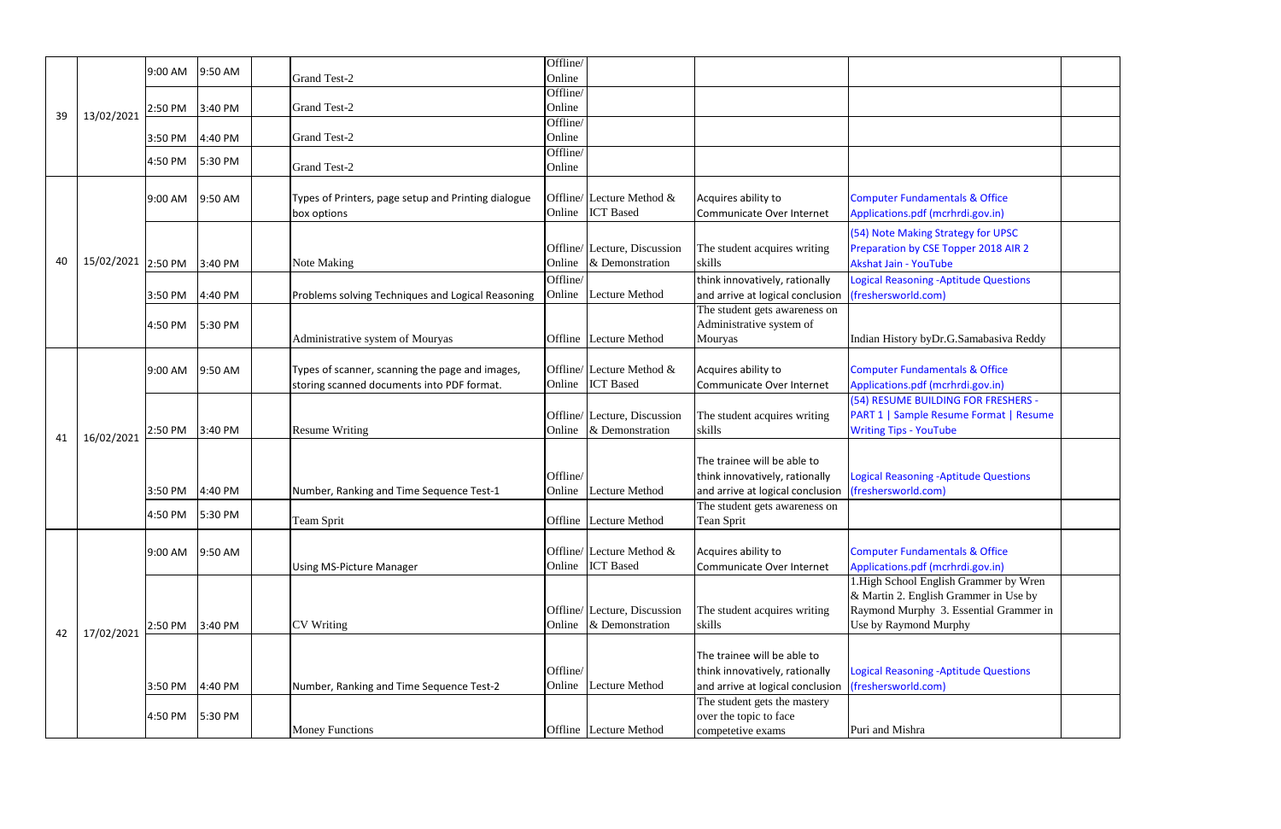|    |                    | 9:00 AM         | 9:50 AM | <b>Grand Test-2</b>                                                                           | Offline/<br>Online |                                                 |                                                                                                   |                                                                                                                                           |
|----|--------------------|-----------------|---------|-----------------------------------------------------------------------------------------------|--------------------|-------------------------------------------------|---------------------------------------------------------------------------------------------------|-------------------------------------------------------------------------------------------------------------------------------------------|
|    |                    | 2:50 PM         | 3:40 PM | Grand Test-2                                                                                  | Offline/<br>Online |                                                 |                                                                                                   |                                                                                                                                           |
| 39 | 13/02/2021         | 3:50 PM         | 4:40 PM | <b>Grand Test-2</b>                                                                           | Offline/<br>Online |                                                 |                                                                                                   |                                                                                                                                           |
|    |                    | 4:50 PM         | 5:30 PM | Grand Test-2                                                                                  | Offline/<br>Online |                                                 |                                                                                                   |                                                                                                                                           |
|    |                    | 9:00 AM         | 9:50 AM | Types of Printers, page setup and Printing dialogue<br>box options                            |                    | Offline/ Lecture Method &<br>Online ICT Based   | Acquires ability to<br>Communicate Over Internet                                                  | <b>Computer Fundamentals &amp; Office</b><br>Applications.pdf (mcrhrdi.gov.in)                                                            |
| 40 | 15/02/2021 2:50 PM |                 | 3:40 PM | Note Making                                                                                   | Online             | Offline/ Lecture, Discussion<br>& Demonstration | The student acquires writing<br>skills                                                            | (54) Note Making Strategy for UPSC<br>Preparation by CSE Topper 2018 AIR 2<br>Akshat Jain - YouTube                                       |
|    |                    | 3:50 PM         | 4:40 PM | Problems solving Techniques and Logical Reasoning                                             | Offline/           | Online Lecture Method                           | think innovatively, rationally<br>and arrive at logical conclusion                                | <b>Logical Reasoning -Aptitude Questions</b><br>(freshersworld.com)                                                                       |
|    |                    | 4:50 PM         | 5:30 PM | Administrative system of Mouryas                                                              |                    | Offline Lecture Method                          | The student gets awareness on<br>Administrative system of<br>Mouryas                              | Indian History byDr.G.Samabasiva Req                                                                                                      |
|    | 16/02/2021         | 9:00 AM         | 9:50 AM | Types of scanner, scanning the page and images,<br>storing scanned documents into PDF format. |                    | Offline/ Lecture Method &<br>Online ICT Based   | Acquires ability to<br>Communicate Over Internet                                                  | <b>Computer Fundamentals &amp; Office</b><br>Applications.pdf (mcrhrdi.gov.in)                                                            |
| 41 |                    | 2:50 PM         | 3:40 PM | <b>Resume Writing</b>                                                                         | Online             | Offline/ Lecture, Discussion<br>& Demonstration | The student acquires writing<br>skills                                                            | (54) RESUME BUILDING FOR FRESHERS<br><b>PART 1   Sample Resume Format   Res</b><br><b>Writing Tips - YouTube</b>                          |
|    |                    | 3:50 PM         | 4:40 PM | Number, Ranking and Time Sequence Test-1                                                      | Offline/<br>Online | Lecture Method                                  | The trainee will be able to<br>think innovatively, rationally<br>and arrive at logical conclusion | <b>Logical Reasoning - Aptitude Questions</b><br>(freshersworld.com)                                                                      |
|    |                    | 4:50 PM 5:30 PM |         | <b>Team Sprit</b>                                                                             |                    | <b>Offline</b> Lecture Method                   | The student gets awareness on<br>Tean Sprit                                                       |                                                                                                                                           |
|    |                    | 9:00 AM         | 9:50 AM | <b>Using MS-Picture Manager</b>                                                               |                    | Offline/ Lecture Method &<br>Online ICT Based   | Acquires ability to<br>Communicate Over Internet                                                  | <b>Computer Fundamentals &amp; Office</b><br>Applications.pdf (mcrhrdi.gov.in)                                                            |
| 42 |                    | 2:50 PM         | 3:40 PM | <b>CV</b> Writing                                                                             | Online             | Offline/ Lecture, Discussion<br>& Demonstration | The student acquires writing<br>skills                                                            | 1. High School English Grammer by W<br>& Martin 2. English Grammer in Use b<br>Raymond Murphy 3. Essential Gramm<br>Use by Raymond Murphy |
|    | 17/02/2021         | 3:50 PM         | 4:40 PM | Number, Ranking and Time Sequence Test-2                                                      | Offline/<br>Online | <b>Lecture Method</b>                           | The trainee will be able to<br>think innovatively, rationally<br>and arrive at logical conclusion | Logical Reasoning - Aptitude Questions<br>(freshersworld.com)                                                                             |
|    |                    | 4:50 PM         | 5:30 PM | <b>Money Functions</b>                                                                        |                    | Offline Lecture Method                          | The student gets the mastery<br>over the topic to face<br>competetive exams                       | Puri and Mishra                                                                                                                           |

| <b>Computer Fundamentals &amp; Office</b><br>Applications.pdf (mcrhrdi.gov.in)                                                                     |  |
|----------------------------------------------------------------------------------------------------------------------------------------------------|--|
| (54) Note Making Strategy for UPSC<br>Preparation by CSE Topper 2018 AIR 2<br><b>Akshat Jain - YouTube</b>                                         |  |
| <b>Logical Reasoning -Aptitude Questions</b><br>(freshersworld.com)                                                                                |  |
| Indian History byDr.G.Samabasiva Reddy                                                                                                             |  |
| <b>Computer Fundamentals &amp; Office</b><br>Applications.pdf (mcrhrdi.gov.in)                                                                     |  |
| (54) RESUME BUILDING FOR FRESHERS -<br>PART 1   Sample Resume Format   Resume<br><b>Writing Tips - YouTube</b>                                     |  |
| <b>Logical Reasoning -Aptitude Questions</b><br>(freshersworld.com)                                                                                |  |
|                                                                                                                                                    |  |
| <b>Computer Fundamentals &amp; Office</b><br>Applications.pdf (mcrhrdi.gov.in)                                                                     |  |
| 1. High School English Grammer by Wren<br>& Martin 2. English Grammer in Use by<br>Raymond Murphy 3. Essential Grammer in<br>Use by Raymond Murphy |  |
| <b>Logical Reasoning -Aptitude Questions</b><br>(freshersworld.com)                                                                                |  |
| Puri and Mishra                                                                                                                                    |  |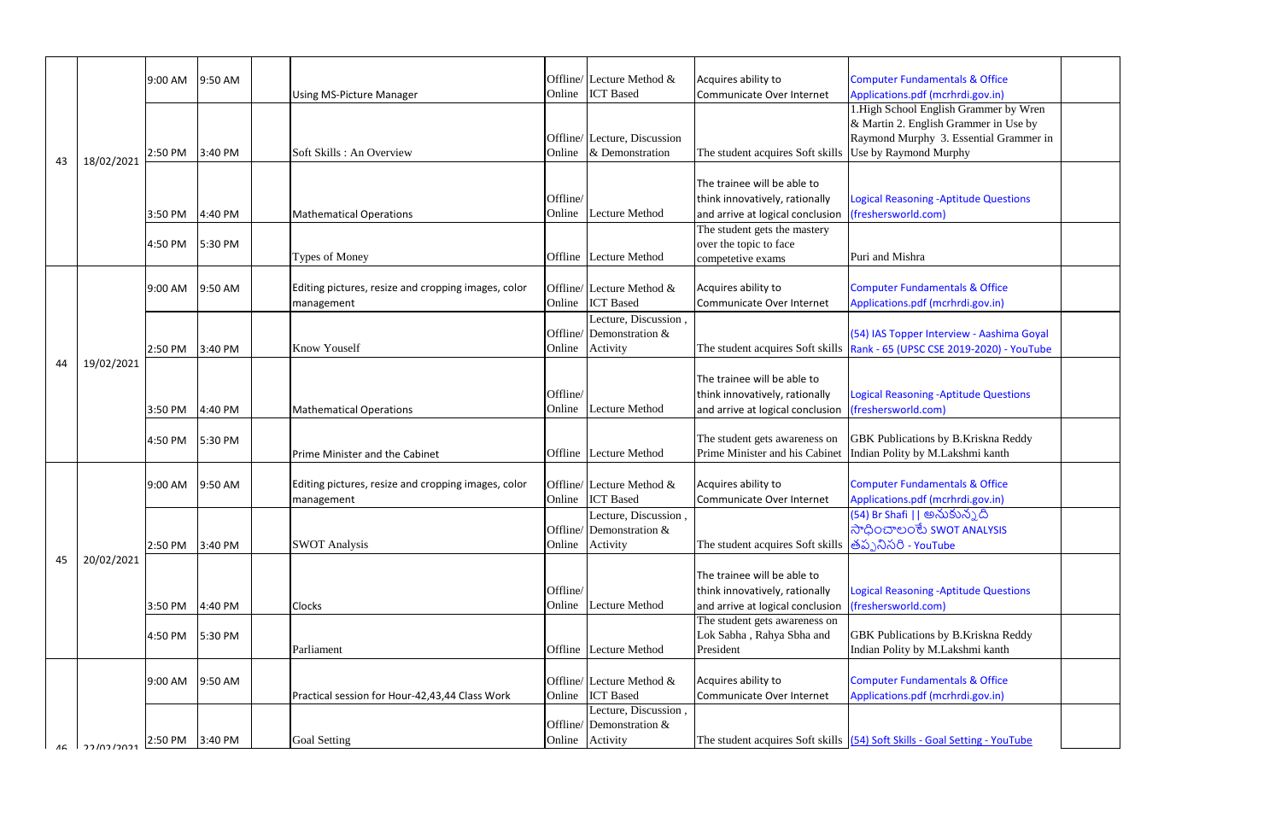| <b>Computer Fundamentals &amp; Office</b>    |  |
|----------------------------------------------|--|
| Applications.pdf (mcrhrdi.gov.in)            |  |
| 1. High School English Grammer by Wren       |  |
| & Martin 2. English Grammer in Use by        |  |
|                                              |  |
| Raymond Murphy 3. Essential Grammer in       |  |
| Use by Raymond Murphy                        |  |
|                                              |  |
|                                              |  |
| <b>Logical Reasoning -Aptitude Questions</b> |  |
| (freshersworld.com)                          |  |
|                                              |  |
|                                              |  |
| Puri and Mishra                              |  |
|                                              |  |
| <b>Computer Fundamentals &amp; Office</b>    |  |
| Applications.pdf (mcrhrdi.gov.in)            |  |
|                                              |  |
|                                              |  |
| (54) IAS Topper Interview - Aashima Goyal    |  |
| Rank - 65 (UPSC CSE 2019-2020) - YouTube     |  |
|                                              |  |
|                                              |  |
| <b>Logical Reasoning -Aptitude Questions</b> |  |
| (freshersworld.com)                          |  |
|                                              |  |
| GBK Publications by B.Kriskna Reddy          |  |
| Indian Polity by M.Lakshmi kanth             |  |
|                                              |  |
| <b>Computer Fundamentals &amp; Office</b>    |  |
|                                              |  |
| Applications.pdf (mcrhrdi.gov.in)            |  |
| (54) Br Shafi    అనుకున్నది                  |  |
| సాధించాలంకేు swot ANALYSIS                   |  |
| తప్పనిసరి - YouTube                          |  |
|                                              |  |
|                                              |  |
| <b>Logical Reasoning -Aptitude Questions</b> |  |
| (freshersworld.com)                          |  |
|                                              |  |
|                                              |  |
| GBK Publications by B.Kriskna Reddy          |  |
| Indian Polity by M.Lakshmi kanth             |  |
|                                              |  |
| <b>Computer Fundamentals &amp; Office</b>    |  |
| Applications.pdf (mcrhrdi.gov.in)            |  |
|                                              |  |
|                                              |  |
| (54) Soft Skills - Goal Setting - YouTube    |  |

|    |                              | 9:00 AM | 9:50 AM | <b>Using MS-Picture Manager</b>                                   |                    | Offline/ Lecture Method &<br>Online ICT Based                          | Acquires ability to<br>Communicate Over Internet                                                                      | <b>Computer Fundamentals &amp; Office</b><br>Applications.pdf (mcrhrdi.gov.in)<br>1. High School English Grammer by Wi<br>& Martin 2. English Grammer in Use b |
|----|------------------------------|---------|---------|-------------------------------------------------------------------|--------------------|------------------------------------------------------------------------|-----------------------------------------------------------------------------------------------------------------------|----------------------------------------------------------------------------------------------------------------------------------------------------------------|
| 43 | 18/02/2021                   | 2:50 PM | 3:40 PM | Soft Skills: An Overview                                          |                    | Offline/ Lecture, Discussion<br>Online & Demonstration                 | The student acquires Soft skills Use by Raymond Murphy                                                                | Raymond Murphy 3. Essential Gramm                                                                                                                              |
|    |                              | 3:50 PM | 4:40 PM | <b>Mathematical Operations</b>                                    | Offline/           | Online Lecture Method                                                  | The trainee will be able to<br>think innovatively, rationally<br>and arrive at logical conclusion                     | <b>Logical Reasoning -Aptitude Questions</b><br>(freshersworld.com)                                                                                            |
|    |                              | 4:50 PM | 5:30 PM | Types of Money                                                    |                    | Offline Lecture Method                                                 | The student gets the mastery<br>over the topic to face<br>competetive exams                                           | Puri and Mishra                                                                                                                                                |
|    |                              | 9:00 AM | 9:50 AM | Editing pictures, resize and cropping images, color<br>management |                    | Offline/ Lecture Method &<br>Online ICT Based                          | Acquires ability to<br>Communicate Over Internet                                                                      | <b>Computer Fundamentals &amp; Office</b><br>Applications.pdf (mcrhrdi.gov.in)                                                                                 |
|    | 19/02/2021                   | 2:50 PM | 3:40 PM | <b>Know Youself</b>                                               |                    | Lecture, Discussion,<br>Offline/ Demonstration $\&$<br>Online Activity |                                                                                                                       | (54) IAS Topper Interview - Aashima Go<br>The student acquires Soft skills   Rank - 65 (UPSC CSE 2019-2020) - YouT                                             |
| 44 |                              | 3:50 PM | 4:40 PM | <b>Mathematical Operations</b>                                    | Offline/<br>Online | <b>Lecture Method</b>                                                  | The trainee will be able to<br>think innovatively, rationally<br>and arrive at logical conclusion                     | Logical Reasoning - Aptitude Questions<br>(freshersworld.com)                                                                                                  |
|    |                              | 4:50 PM | 5:30 PM | Prime Minister and the Cabinet                                    |                    | Offline Lecture Method                                                 | The student gets awareness on<br>Prime Minister and his Cabinet                                                       | <b>GBK</b> Publications by B.Kriskna Reddy<br>Indian Polity by M.Lakshmi kanth                                                                                 |
|    |                              | 9:00 AM | 9:50 AM | Editing pictures, resize and cropping images, color<br>management |                    | Offline/ Lecture Method &<br>Online ICT Based                          | Acquires ability to<br>Communicate Over Internet                                                                      | <b>Computer Fundamentals &amp; Office</b><br>Applications.pdf (mcrhrdi.gov.in)                                                                                 |
|    |                              | 2:50 PM | 3:40 PM | <b>SWOT Analysis</b>                                              |                    | Lecture, Discussion,<br>Offline/Demonstration $&$<br>Online Activity   | The student acquires Soft skills తప్పనిసరి - YouTube                                                                  | (54) Br Shafi    అనుకున్నది<br>ನ್ <b>ಧಿಂ</b> ವ್ಲಾಂಕು swot ANALYSIS                                                                                             |
| 45 | 20/02/2021                   | 3:50 PM | 4:40 PM | Clocks                                                            | Offline/           | Online Lecture Method                                                  | The trainee will be able to<br>think innovatively, rationally<br>and arrive at logical conclusion (freshersworld.com) | Logical Reasoning - Aptitude Questions                                                                                                                         |
|    |                              | 4:50 PM | 5:30 PM | Parliament                                                        |                    | Offline Lecture Method                                                 | The student gets awareness on<br>Lok Sabha, Rahya Sbha and<br>President                                               | <b>GBK</b> Publications by B.Kriskna Reddy<br>Indian Polity by M.Lakshmi kanth                                                                                 |
|    |                              | 9:00 AM | 9:50 AM | Practical session for Hour-42,43,44 Class Work                    |                    | Offline/ Lecture Method &<br>Online ICT Based                          | Acquires ability to<br>Communicate Over Internet                                                                      | <b>Computer Fundamentals &amp; Office</b><br>Applications.pdf (mcrhrdi.gov.in)                                                                                 |
| AC | ורחר <i>ו</i> רח <i>ו</i> רר | 2:50 PM | 3:40 PM | <b>Goal Setting</b>                                               |                    | Lecture, Discussion,<br>Offline/ Demonstration $\&$<br>Online Activity |                                                                                                                       | The student acquires Soft skills (54) Soft Skills - Goal Setting - YouTube                                                                                     |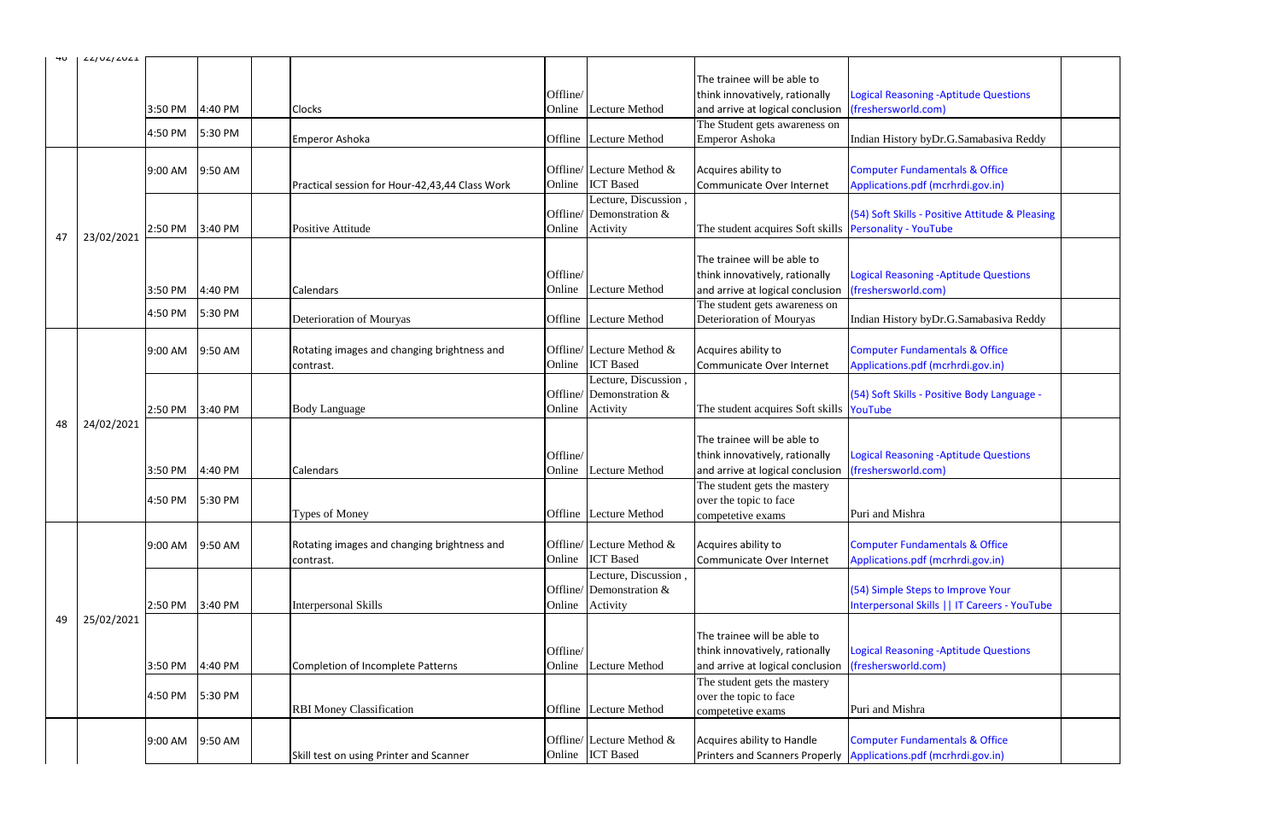|    | L/LJULJLULL |         |         |           |                                                |          |                             |                                                               |                                                                    |  |
|----|-------------|---------|---------|-----------|------------------------------------------------|----------|-----------------------------|---------------------------------------------------------------|--------------------------------------------------------------------|--|
|    |             |         |         |           |                                                |          |                             | The trainee will be able to                                   |                                                                    |  |
|    |             |         |         |           |                                                |          |                             |                                                               |                                                                    |  |
|    |             |         |         |           |                                                | Offline/ |                             | think innovatively, rationally                                | <b>Logical Reasoning -Aptitude Questions</b>                       |  |
|    |             | 3:50 PM | 4:40 PM | Clocks    |                                                | Online   | Lecture Method              | and arrive at logical conclusion                              | (freshersworld.com)                                                |  |
|    |             | 4:50 PM | 5:30 PM |           |                                                |          |                             | The Student gets awareness on                                 |                                                                    |  |
|    |             |         |         |           | Emperor Ashoka                                 | Offline  | <b>Lecture Method</b>       | <b>Emperor Ashoka</b>                                         | Indian History byDr.G.Samabasiva Reddy                             |  |
|    |             |         |         |           |                                                |          |                             |                                                               |                                                                    |  |
|    |             | 9:00 AM | 9:50 AM |           |                                                |          | Offline/ Lecture Method &   | Acquires ability to                                           | <b>Computer Fundamentals &amp; Office</b>                          |  |
|    |             |         |         |           | Practical session for Hour-42,43,44 Class Work | Online   | <b>ICT</b> Based            | Communicate Over Internet                                     | Applications.pdf (mcrhrdi.gov.in)                                  |  |
|    |             |         |         |           |                                                |          | Lecture, Discussion,        |                                                               |                                                                    |  |
|    |             |         |         |           |                                                |          | Offline/Demonstration $&$   |                                                               | (54) Soft Skills - Positive Attitude & Pleasing                    |  |
|    |             |         | 3:40 PM |           | Positive Attitude                              | Online   |                             | The student acquires Soft skills <b>Personality</b> - YouTube |                                                                    |  |
| 47 | 23/02/2021  | 2:50 PM |         |           |                                                |          | Activity                    |                                                               |                                                                    |  |
|    |             |         |         |           |                                                |          |                             |                                                               |                                                                    |  |
|    |             |         |         |           |                                                |          |                             | The trainee will be able to                                   |                                                                    |  |
|    |             |         |         |           |                                                | Offline/ |                             | think innovatively, rationally                                | <b>Logical Reasoning -Aptitude Questions</b>                       |  |
|    |             | 3:50 PM | 4:40 PM | Calendars |                                                | Online   | <b>Lecture Method</b>       | and arrive at logical conclusion                              | (freshersworld.com)                                                |  |
|    |             |         |         |           |                                                |          |                             | The student gets awareness on                                 |                                                                    |  |
|    |             | 4:50 PM | 5:30 PM |           | Deterioration of Mouryas                       |          | Offline Lecture Method      | Deterioration of Mouryas                                      | Indian History byDr.G.Samabasiva Reddy                             |  |
|    |             |         |         |           |                                                |          |                             |                                                               |                                                                    |  |
|    |             | 9:00 AM | 9:50 AM |           | Rotating images and changing brightness and    |          | Offline/ Lecture Method &   | Acquires ability to                                           | <b>Computer Fundamentals &amp; Office</b>                          |  |
|    |             |         |         |           |                                                | Online   | <b>ICT</b> Based            |                                                               |                                                                    |  |
|    |             |         |         | contrast. |                                                |          |                             | Communicate Over Internet                                     | Applications.pdf (mcrhrdi.gov.in)                                  |  |
|    |             |         |         |           |                                                |          | Lecture, Discussion,        |                                                               |                                                                    |  |
|    |             |         |         |           |                                                |          | Offline/ Demonstration $\&$ |                                                               | (54) Soft Skills - Positive Body Language -                        |  |
|    |             | 2:50 PM | 3:40 PM |           | <b>Body Language</b>                           | Online   | Activity                    | The student acquires Soft skills YouTube                      |                                                                    |  |
| 48 | 24/02/2021  |         |         |           |                                                |          |                             |                                                               |                                                                    |  |
|    |             |         |         |           |                                                |          |                             | The trainee will be able to                                   |                                                                    |  |
|    |             |         |         |           |                                                | Offline/ |                             | think innovatively, rationally                                | <b>Logical Reasoning -Aptitude Questions</b>                       |  |
|    |             | 3:50 PM | 4:40 PM | Calendars |                                                | Online   | Lecture Method              | and arrive at logical conclusion                              | (freshersworld.com)                                                |  |
|    |             |         |         |           |                                                |          |                             | The student gets the mastery                                  |                                                                    |  |
|    |             | 4:50 PM | 5:30 PM |           |                                                |          |                             | over the topic to face                                        |                                                                    |  |
|    |             |         |         |           | Types of Money                                 |          | Offline Lecture Method      | competetive exams                                             | Puri and Mishra                                                    |  |
|    |             |         |         |           |                                                |          |                             |                                                               |                                                                    |  |
|    |             |         |         |           |                                                |          |                             |                                                               |                                                                    |  |
|    |             | 9:00 AM | 9:50 AM |           | Rotating images and changing brightness and    |          | Offline/ Lecture Method &   | Acquires ability to                                           | <b>Computer Fundamentals &amp; Office</b>                          |  |
|    |             |         |         | contrast. |                                                | Online   | <b>ICT</b> Based            | Communicate Over Internet                                     | Applications.pdf (mcrhrdi.gov.in)                                  |  |
|    |             |         |         |           |                                                |          | Lecture, Discussion,        |                                                               |                                                                    |  |
|    |             |         |         |           |                                                |          | Offline/ Demonstration $\&$ |                                                               | (54) Simple Steps to Improve Your                                  |  |
|    |             | 2:50 PM | 3:40 PM |           | <b>Interpersonal Skills</b>                    | Online   | Activity                    |                                                               | Interpersonal Skills     IT Careers - YouTube                      |  |
| 49 | 25/02/2021  |         |         |           |                                                |          |                             |                                                               |                                                                    |  |
|    |             |         |         |           |                                                |          |                             | The trainee will be able to                                   |                                                                    |  |
|    |             |         |         |           |                                                | Offline/ |                             | think innovatively, rationally                                | <b>Logical Reasoning -Aptitude Questions</b>                       |  |
|    |             | 3:50 PM | 4:40 PM |           | <b>Completion of Incomplete Patterns</b>       | Online   | Lecture Method              | and arrive at logical conclusion                              | (freshersworld.com)                                                |  |
|    |             |         |         |           |                                                |          |                             |                                                               |                                                                    |  |
|    |             |         |         |           |                                                |          |                             | The student gets the mastery                                  |                                                                    |  |
|    |             | 4:50 PM | 5:30 PM |           |                                                |          |                             | over the topic to face                                        |                                                                    |  |
|    |             |         |         |           | <b>RBI</b> Money Classification                |          | Offline Lecture Method      | competetive exams                                             | Puri and Mishra                                                    |  |
|    |             |         |         |           |                                                |          |                             |                                                               |                                                                    |  |
|    |             | 9:00 AM | 9:50 AM |           |                                                |          | Offline/ Lecture Method &   | Acquires ability to Handle                                    | <b>Computer Fundamentals &amp; Office</b>                          |  |
|    |             |         |         |           | Skill test on using Printer and Scanner        |          | Online ICT Based            |                                                               | Printers and Scanners Properly   Applications.pdf (mcrhrdi.gov.in) |  |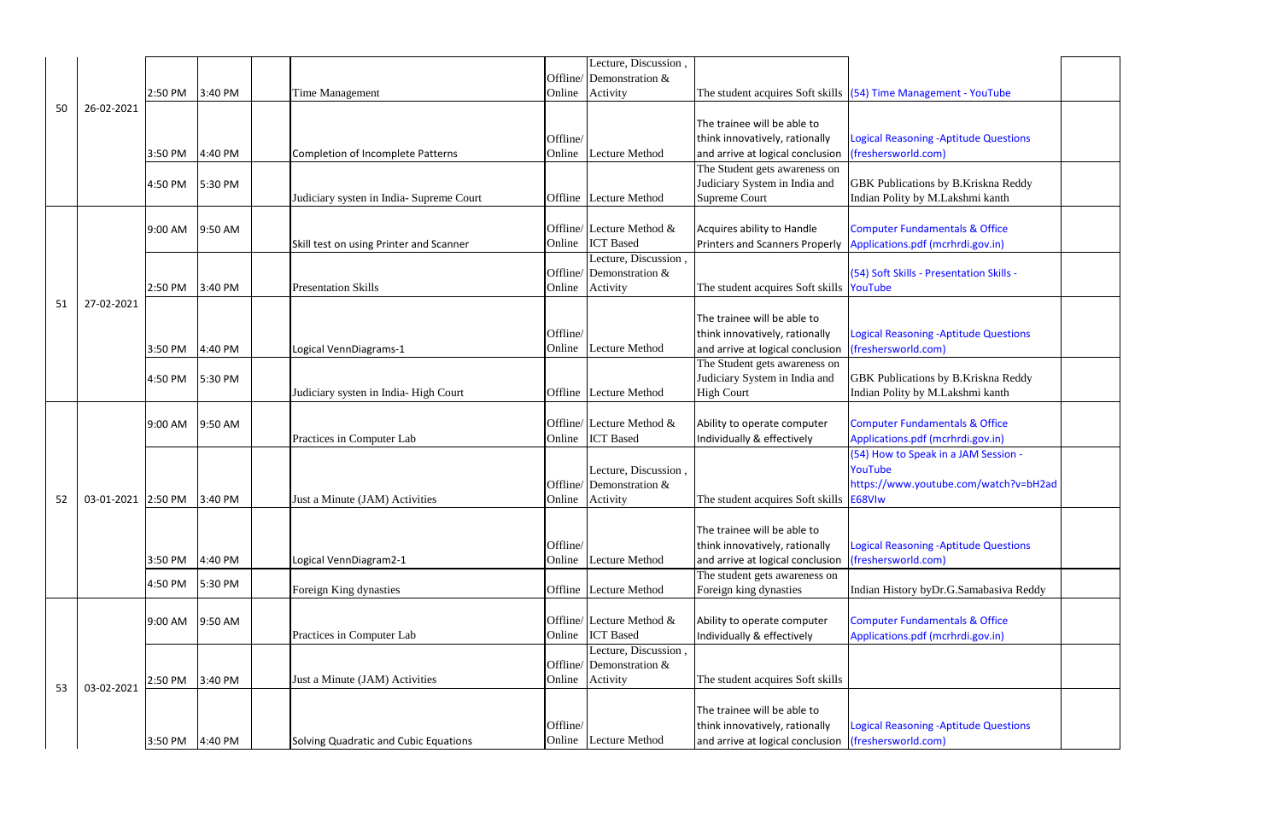|    |                    |         |         |                                          |          | Lecture, Discussion,                          |                                                                |                                                                                |  |
|----|--------------------|---------|---------|------------------------------------------|----------|-----------------------------------------------|----------------------------------------------------------------|--------------------------------------------------------------------------------|--|
|    |                    |         |         |                                          |          | Offline/ Demonstration $\&$                   |                                                                |                                                                                |  |
|    |                    | 2:50 PM | 3:40 PM | Time Management                          | Online   | Activity                                      |                                                                | The student acquires Soft skills $(54)$ Time Management - YouTube              |  |
| 50 | 26-02-2021         |         |         |                                          |          |                                               | The trainee will be able to                                    |                                                                                |  |
|    |                    |         |         |                                          | Offline/ |                                               | think innovatively, rationally                                 | <b>Logical Reasoning -Aptitude Questions</b>                                   |  |
|    |                    | 3:50 PM | 4:40 PM | <b>Completion of Incomplete Patterns</b> | Online   | Lecture Method                                | and arrive at logical conclusion                               | (freshersworld.com)                                                            |  |
|    |                    |         |         |                                          |          |                                               | The Student gets awareness on                                  |                                                                                |  |
|    |                    | 4:50 PM | 5:30 PM |                                          |          |                                               | Judiciary System in India and                                  | <b>GBK</b> Publications by B.Kriskna Reddy                                     |  |
|    |                    |         |         | Judiciary systen in India-Supreme Court  |          | Offline Lecture Method                        | Supreme Court                                                  | Indian Polity by M.Lakshmi kanth                                               |  |
|    |                    |         |         |                                          |          |                                               |                                                                |                                                                                |  |
|    |                    | 9:00 AM | 9:50 AM |                                          |          | Offline/ Lecture Method &                     | Acquires ability to Handle                                     | <b>Computer Fundamentals &amp; Office</b>                                      |  |
|    |                    |         |         | Skill test on using Printer and Scanner  | Online   | <b>ICT</b> Based<br>Lecture, Discussion,      | <b>Printers and Scanners Properly</b>                          | Applications.pdf (mcrhrdi.gov.in)                                              |  |
|    |                    |         |         |                                          |          | Offline/ Demonstration $\&$                   |                                                                | (54) Soft Skills - Presentation Skills -                                       |  |
|    |                    | 2:50 PM | 3:40 PM | <b>Presentation Skills</b>               | Online   | Activity                                      | The student acquires Soft skills YouTube                       |                                                                                |  |
| 51 | 27-02-2021         |         |         |                                          |          |                                               |                                                                |                                                                                |  |
|    |                    |         |         |                                          |          |                                               | The trainee will be able to                                    |                                                                                |  |
|    |                    |         |         |                                          | Offline/ |                                               | think innovatively, rationally                                 | Logical Reasoning - Aptitude Questions                                         |  |
|    |                    | 3:50 PM | 4:40 PM | Logical VennDiagrams-1                   | Online   | <b>Lecture Method</b>                         | and arrive at logical conclusion                               | (freshersworld.com)                                                            |  |
|    |                    |         |         |                                          |          |                                               | The Student gets awareness on<br>Judiciary System in India and | <b>GBK</b> Publications by B.Kriskna Reddy                                     |  |
|    |                    | 4:50 PM | 5:30 PM | Judiciary systen in India-High Court     |          | Offline Lecture Method                        | <b>High Court</b>                                              | Indian Polity by M.Lakshmi kanth                                               |  |
|    |                    |         |         |                                          |          |                                               |                                                                |                                                                                |  |
|    |                    | 9:00 AM | 9:50 AM |                                          |          | Offline/ Lecture Method &                     | Ability to operate computer                                    | <b>Computer Fundamentals &amp; Office</b>                                      |  |
|    |                    |         |         | Practices in Computer Lab                | Online   | <b>ICT</b> Based                              | Individually & effectively                                     | Applications.pdf (mcrhrdi.gov.in)                                              |  |
|    |                    |         |         |                                          |          |                                               |                                                                | (54) How to Speak in a JAM Session -                                           |  |
|    |                    |         |         |                                          |          | Lecture, Discussion,                          |                                                                | YouTube                                                                        |  |
|    | 03-01-2021 2:50 PM |         | 3:40 PM | Just a Minute (JAM) Activities           | Online   | Offline/Demonstration &<br>Activity           | The student acquires Soft skills                               | https://www.youtube.com/watch?v=bH2ad<br>E68VIw                                |  |
| 52 |                    |         |         |                                          |          |                                               |                                                                |                                                                                |  |
|    |                    |         |         |                                          |          |                                               | The trainee will be able to                                    |                                                                                |  |
|    |                    |         |         |                                          | Offline/ |                                               | think innovatively, rationally                                 | <b>Logical Reasoning -Aptitude Questions</b>                                   |  |
|    |                    | 3:50 PM | 4:40 PM | Logical VennDiagram2-1                   | Online   | Lecture Method                                | and arrive at logical conclusion                               | (freshersworld.com)                                                            |  |
|    |                    | 4:50 PM | 5:30 PM |                                          |          |                                               | The student gets awareness on                                  |                                                                                |  |
|    |                    |         |         | Foreign King dynasties                   | Offline  | <b>Lecture Method</b>                         | Foreign king dynasties                                         | Indian History byDr.G.Samabasiva Reddy                                         |  |
|    |                    |         |         |                                          |          |                                               |                                                                |                                                                                |  |
|    |                    | 9:00 AM | 9:50 AM | Practices in Computer Lab                | Online   | Offline/ Lecture Method &<br><b>ICT</b> Based | Ability to operate computer<br>Individually & effectively      | <b>Computer Fundamentals &amp; Office</b><br>Applications.pdf (mcrhrdi.gov.in) |  |
|    |                    |         |         |                                          |          | Lecture, Discussion,                          |                                                                |                                                                                |  |
|    |                    |         |         |                                          |          | Offline/Demonstration &                       |                                                                |                                                                                |  |
|    | 03-02-2021         | 2:50 PM | 3:40 PM | Just a Minute (JAM) Activities           | Online   | Activity                                      | The student acquires Soft skills                               |                                                                                |  |
| 53 |                    |         |         |                                          |          |                                               |                                                                |                                                                                |  |
|    |                    |         |         |                                          |          |                                               | The trainee will be able to                                    |                                                                                |  |
|    |                    | 3:50 PM |         |                                          | Offline/ |                                               | think innovatively, rationally                                 | <b>Logical Reasoning -Aptitude Questions</b>                                   |  |
|    |                    |         | 4:40 PM | Solving Quadratic and Cubic Equations    | Online   | <b>Lecture Method</b>                         | and arrive at logical conclusion                               | (freshersworld.com)                                                            |  |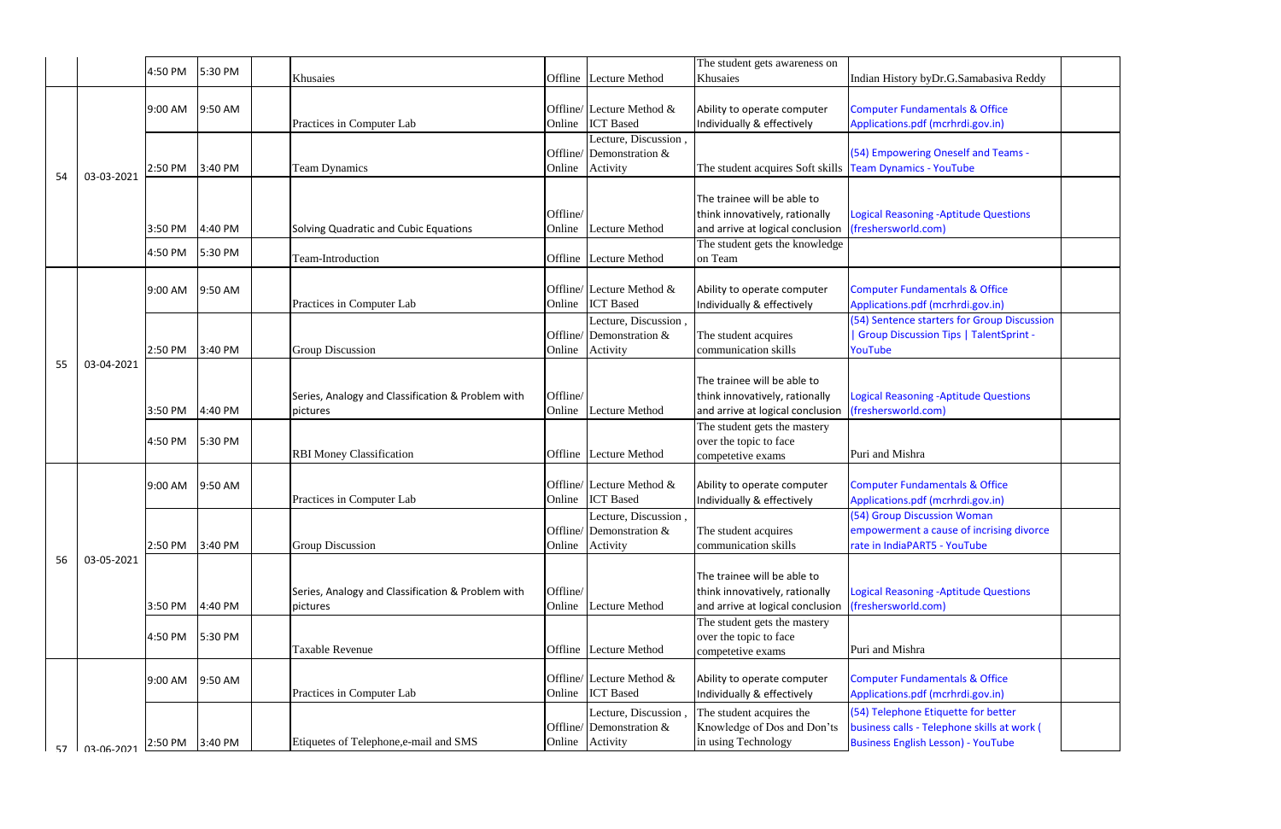|    |                   | 4:50 PM | 5:30 PM |                                                   |          |                                                  | The student gets awareness on                                      |                                              |
|----|-------------------|---------|---------|---------------------------------------------------|----------|--------------------------------------------------|--------------------------------------------------------------------|----------------------------------------------|
|    |                   |         |         | Khusaies                                          | Offline  | Lecture Method                                   | Khusaies                                                           | Indian History byDr.G.Samabasiva Reddy       |
|    |                   |         |         |                                                   |          |                                                  |                                                                    |                                              |
|    |                   | 9:00 AM | 9:50 AM |                                                   |          | Offline/ Lecture Method $\&$<br><b>ICT</b> Based | Ability to operate computer                                        | <b>Computer Fundamentals &amp; Office</b>    |
|    |                   |         |         | Practices in Computer Lab                         | Online   | Lecture, Discussion,                             | Individually & effectively                                         | Applications.pdf (mcrhrdi.gov.in)            |
|    |                   |         |         |                                                   | Offline/ | Demonstration &                                  |                                                                    | (54) Empowering Oneself and Teams -          |
|    |                   | 2:50 PM | 3:40 PM | <b>Team Dynamics</b>                              | Online   | Activity                                         | The student acquires Soft skills                                   | <b>Team Dynamics - YouTube</b>               |
| 54 | 03-03-2021        |         |         |                                                   |          |                                                  |                                                                    |                                              |
|    |                   |         |         |                                                   |          |                                                  | The trainee will be able to                                        |                                              |
|    |                   |         |         |                                                   | Offline/ |                                                  | think innovatively, rationally                                     | <b>Logical Reasoning -Aptitude Questions</b> |
|    |                   | 3:50 PM | 4:40 PM |                                                   | Online   | <b>Lecture Method</b>                            |                                                                    |                                              |
|    |                   |         |         | Solving Quadratic and Cubic Equations             |          |                                                  | and arrive at logical conclusion<br>The student gets the knowledge | (freshersworld.com)                          |
|    |                   | 4:50 PM | 5:30 PM | Team-Introduction                                 | Offline  | Lecture Method                                   | on Team                                                            |                                              |
|    |                   |         |         |                                                   |          |                                                  |                                                                    |                                              |
|    |                   |         |         |                                                   |          | Offline/ Lecture Method $\&$                     |                                                                    |                                              |
|    |                   | 9:00 AM | 9:50 AM | Practices in Computer Lab                         |          | <b>ICT</b> Based                                 | Ability to operate computer                                        | <b>Computer Fundamentals &amp; Office</b>    |
|    |                   |         |         |                                                   | Online   |                                                  | Individually & effectively                                         | Applications.pdf (mcrhrdi.gov.in)            |
|    |                   |         |         |                                                   |          | Lecture, Discussion,                             |                                                                    | (54) Sentence starters for Group Discussio   |
|    |                   |         |         |                                                   | Offline/ | Demonstration &                                  | The student acquires                                               | Group Discussion Tips   TalentSprint -       |
|    | 03-04-2021        | 2:50 PM | 3:40 PM | Group Discussion                                  | Online   | Activity                                         | communication skills                                               | YouTube                                      |
| 55 |                   |         |         |                                                   |          |                                                  |                                                                    |                                              |
|    |                   |         |         |                                                   |          |                                                  | The trainee will be able to                                        |                                              |
|    |                   |         |         | Series, Analogy and Classification & Problem with | Offline/ |                                                  | think innovatively, rationally                                     | <b>Logical Reasoning -Aptitude Questions</b> |
|    |                   | 3:50 PM | 4:40 PM | pictures                                          | Online   | Lecture Method                                   | and arrive at logical conclusion                                   | (freshersworld.com)                          |
|    |                   |         |         |                                                   |          |                                                  | The student gets the mastery                                       |                                              |
|    |                   | 4:50 PM | 5:30 PM | <b>RBI Money Classification</b>                   | Offline  | <b>Lecture Method</b>                            | over the topic to face                                             | Puri and Mishra                              |
|    |                   |         |         |                                                   |          |                                                  | competetive exams                                                  |                                              |
|    |                   | 9:00 AM | 9:50 AM |                                                   |          | Offline/ Lecture Method &                        | Ability to operate computer                                        | <b>Computer Fundamentals &amp; Office</b>    |
|    |                   |         |         | Practices in Computer Lab                         | Online   | <b>ICT</b> Based                                 | Individually & effectively                                         | Applications.pdf (mcrhrdi.gov.in)            |
|    |                   |         |         |                                                   |          |                                                  |                                                                    | (54) Group Discussion Woman                  |
|    |                   |         |         |                                                   |          | Lecture, Discussion,<br>Offline/ Demonstration & | The student acquires                                               | empowerment a cause of incrising divorce     |
|    |                   | 2:50 PM | 3:40 PM | Group Discussion                                  | Online   | Activity                                         | communication skills                                               | rate in IndiaPART5 - YouTube                 |
| 56 | 03-05-2021        |         |         |                                                   |          |                                                  |                                                                    |                                              |
|    |                   |         |         |                                                   |          |                                                  | The trainee will be able to                                        |                                              |
|    |                   |         |         |                                                   |          |                                                  |                                                                    |                                              |
|    |                   |         |         | Series, Analogy and Classification & Problem with | Offline/ | <b>Lecture Method</b>                            | think innovatively, rationally                                     | <b>Logical Reasoning -Aptitude Questions</b> |
|    |                   | 3:50 PM | 4:40 PM | pictures                                          | Online   |                                                  | and arrive at logical conclusion                                   | (freshersworld.com)                          |
|    |                   |         |         |                                                   |          |                                                  | The student gets the mastery                                       |                                              |
|    |                   | 4:50 PM | 5:30 PM | Taxable Revenue                                   | Offline  | Lecture Method                                   | over the topic to face                                             | Puri and Mishra                              |
|    |                   |         |         |                                                   |          |                                                  | competetive exams                                                  |                                              |
|    |                   | 9:00 AM | 9:50 AM |                                                   |          | Offline/ Lecture Method &                        | Ability to operate computer                                        | <b>Computer Fundamentals &amp; Office</b>    |
|    |                   |         |         | Practices in Computer Lab                         | Online   | <b>ICT</b> Based                                 | Individually & effectively                                         | Applications.pdf (mcrhrdi.gov.in)            |
|    |                   |         |         |                                                   |          |                                                  |                                                                    |                                              |
|    |                   |         |         |                                                   |          | Lecture, Discussion,                             | The student acquires the                                           | (54) Telephone Etiquette for better          |
|    |                   |         |         |                                                   |          | Offline/ Demonstration $&$                       | Knowledge of Dos and Don'ts                                        | business calls - Telephone skills at work (  |
| 57 | <b>N3-06-2021</b> | 2:50 PM | 3:40 PM | Etiquetes of Telephone, e-mail and SMS            | Online   | Activity                                         | in using Technology                                                | <b>Business English Lesson) - YouTube</b>    |

| Indian History byDr.G.Samabasiva Reddy                                                                                          |  |
|---------------------------------------------------------------------------------------------------------------------------------|--|
| <b>Computer Fundamentals &amp; Office</b><br>Applications.pdf (mcrhrdi.gov.in)                                                  |  |
| (54) Empowering Oneself and Teams -<br><b>Team Dynamics - YouTube</b>                                                           |  |
| <b>Logical Reasoning -Aptitude Questions</b><br>(freshersworld.com)                                                             |  |
| <b>Computer Fundamentals &amp; Office</b><br>Applications.pdf (mcrhrdi.gov.in)                                                  |  |
| (54) Sentence starters for Group Discussion<br>  Group Discussion Tips   TalentSprint -<br>YouTube                              |  |
| <b>Logical Reasoning -Aptitude Questions</b><br>(freshersworld.com)                                                             |  |
| Puri and Mishra                                                                                                                 |  |
| <b>Computer Fundamentals &amp; Office</b><br>Applications.pdf (mcrhrdi.gov.in)                                                  |  |
| (54) Group Discussion Woman<br>empowerment a cause of incrising divorce<br>rate in IndiaPART5 - YouTube                         |  |
| <b>Logical Reasoning - Aptitude Questions</b><br>(freshersworld.com)                                                            |  |
| Puri and Mishra                                                                                                                 |  |
| <b>Computer Fundamentals &amp; Office</b><br>Applications.pdf (mcrhrdi.gov.in)                                                  |  |
| (54) Telephone Etiquette for better<br>business calls - Telephone skills at work (<br><b>Business English Lesson) - YouTube</b> |  |